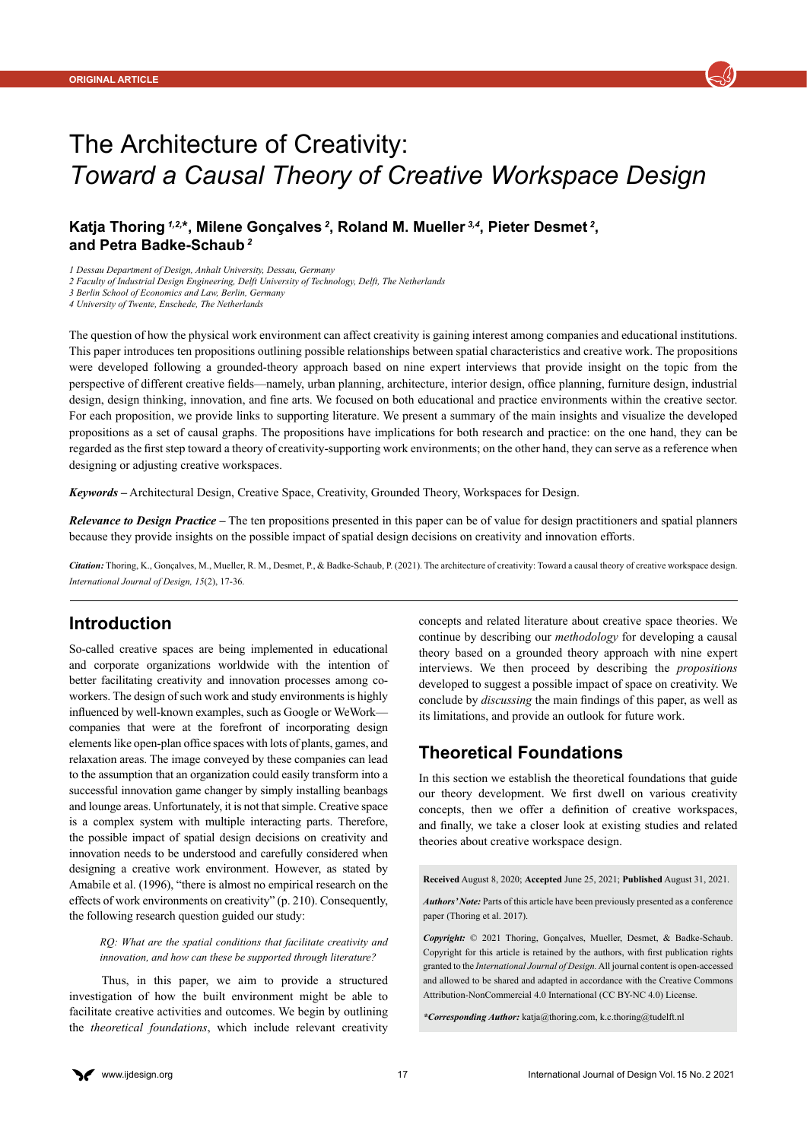

# The Architecture of Creativity: *Toward a Causal Theory of Creative Workspace Design*

# **Katja Thoring** *1,2,***\*, Milene Gonçalves***<sup>2</sup>***, Roland M. Mueller** *3,4***, Pieter Desmet***<sup>2</sup>***, and Petra Badke-Schaub***<sup>2</sup>*

*1 Dessau Department of Design, Anhalt University, Dessau, Germany*

*2 Faculty of Industrial Design Engineering, Delft University of Technology, Delft, The Netherlands* 

*3 Berlin School of Economics and Law, Berlin, Germany*

*4 University of Twente, Enschede, The Netherlands*

The question of how the physical work environment can affect creativity is gaining interest among companies and educational institutions. This paper introduces ten propositions outlining possible relationships between spatial characteristics and creative work. The propositions were developed following a grounded-theory approach based on nine expert interviews that provide insight on the topic from the perspective of different creative fields—namely, urban planning, architecture, interior design, office planning, furniture design, industrial design, design thinking, innovation, and fine arts. We focused on both educational and practice environments within the creative sector. For each proposition, we provide links to supporting literature. We present a summary of the main insights and visualize the developed propositions as a set of causal graphs. The propositions have implications for both research and practice: on the one hand, they can be regarded as the first step toward a theory of creativity-supporting work environments; on the other hand, they can serve as a reference when designing or adjusting creative workspaces.

*Keywords –* Architectural Design, Creative Space, Creativity, Grounded Theory, Workspaces for Design.

*Relevance to Design Practice –* The ten propositions presented in this paper can be of value for design practitioners and spatial planners because they provide insights on the possible impact of spatial design decisions on creativity and innovation efforts.

*Citation:* Thoring, K., Gonçalves, M., Mueller, R. M., Desmet, P., & Badke-Schaub, P. (2021). The architecture of creativity: Toward a causal theory of creative workspace design. *International Journal of Design, 15*(2), 17-36.

# **Introduction**

So-called creative spaces are being implemented in educational and corporate organizations worldwide with the intention of better facilitating creativity and innovation processes among coworkers. The design of such work and study environments is highly influenced by well-known examples, such as Google or WeWork companies that were at the forefront of incorporating design elements like open-plan office spaces with lots of plants, games, and relaxation areas. The image conveyed by these companies can lead to the assumption that an organization could easily transform into a successful innovation game changer by simply installing beanbags and lounge areas. Unfortunately, it is not that simple. Creative space is a complex system with multiple interacting parts. Therefore, the possible impact of spatial design decisions on creativity and innovation needs to be understood and carefully considered when designing a creative work environment. However, as stated by Amabile et al. (1996), "there is almost no empirical research on the effects of work environments on creativity" (p. 210). Consequently, the following research question guided our study:

*RQ: What are the spatial conditions that facilitate creativity and innovation, and how can these be supported through literature?*

Thus, in this paper, we aim to provide a structured investigation of how the built environment might be able to facilitate creative activities and outcomes. We begin by outlining the *theoretical foundations*, which include relevant creativity concepts and related literature about creative space theories. We continue by describing our *methodology* for developing a causal theory based on a grounded theory approach with nine expert interviews. We then proceed by describing the *propositions* developed to suggest a possible impact of space on creativity. We conclude by *discussing* the main findings of this paper, as well as its limitations, and provide an outlook for future work.

# **Theoretical Foundations**

In this section we establish the theoretical foundations that guide our theory development. We first dwell on various creativity concepts, then we offer a definition of creative workspaces, and finally, we take a closer look at existing studies and related theories about creative workspace design.

**Received** August 8, 2020; **Accepted** June 25, 2021; **Published** August 31, 2021.

*Copyright:* © 2021 Thoring, Gonçalves, Mueller, Desmet, & Badke-Schaub. Copyright for this article is retained by the authors, with first publication rights granted to the *International Journal of Design.* All journal content is open-accessed and allowed to be shared and adapted in accordance with the Creative Commons Attribution-NonCommercial 4.0 International (CC BY-NC 4.0) License.

*\*Corresponding Author:* [katja@thoring.com](mailto:katja@thoring.com), [k.c.thoring@tudelft.nl](mailto:k.c.thoring@tudelft.nl)

*Authors' Note:* Parts of this article have been previously presented as a conference paper (Thoring et al. 2017).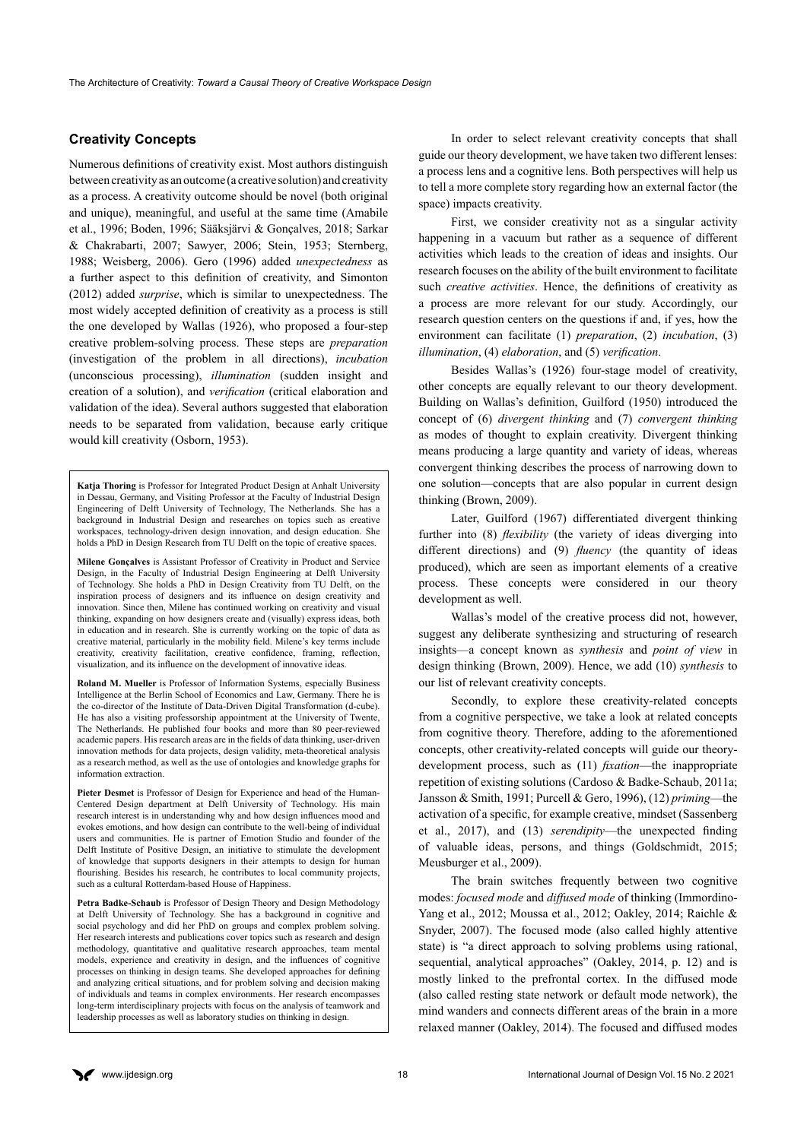# **Creativity Concepts**

Numerous definitions of creativity exist. Most authors distinguish between creativity as an outcome (a creative solution) and creativity as a process. A creativity outcome should be novel (both original and unique), meaningful, and useful at the same time (Amabile et al., 1996; Boden, 1996; Sääksjärvi & Gonçalves, 2018; Sarkar & Chakrabarti, 2007; Sawyer, 2006; Stein, 1953; Sternberg, 1988; Weisberg, 2006). Gero (1996) added *unexpectedness* as a further aspect to this definition of creativity, and Simonton (2012) added *surprise*, which is similar to unexpectedness. The most widely accepted definition of creativity as a process is still the one developed by Wallas (1926), who proposed a four-step creative problem-solving process. These steps are *preparation*  (investigation of the problem in all directions), *incubation*  (unconscious processing), *illumination* (sudden insight and creation of a solution), and *verification* (critical elaboration and validation of the idea). Several authors suggested that elaboration needs to be separated from validation, because early critique would kill creativity (Osborn, 1953).

**Katja Thoring** is Professor for Integrated Product Design at Anhalt University in Dessau, Germany, and Visiting Professor at the Faculty of Industrial Design Engineering of Delft University of Technology, The Netherlands. She has a background in Industrial Design and researches on topics such as creative workspaces, technology-driven design innovation, and design education. She holds a PhD in Design Research from TU Delft on the topic of creative spaces.

**Milene Gonçalves** is Assistant Professor of Creativity in Product and Service Design, in the Faculty of Industrial Design Engineering at Delft University of Technology. She holds a PhD in Design Creativity from TU Delft, on the inspiration process of designers and its influence on design creativity and innovation. Since then, Milene has continued working on creativity and visual thinking, expanding on how designers create and (visually) express ideas, both in education and in research. She is currently working on the topic of data as creative material, particularly in the mobility field. Milene's key terms include creativity, creativity facilitation, creative confidence, framing, reflection, visualization, and its influence on the development of innovative ideas.

**Roland M. Mueller** is Professor of Information Systems, especially Business Intelligence at the Berlin School of Economics and Law, Germany. There he is the co-director of the Institute of Data-Driven Digital Transformation (d-cube). He has also a visiting professorship appointment at the University of Twente, The Netherlands. He published four books and more than 80 peer-reviewed academic papers. His research areas are in the fields of data thinking, user-driven innovation methods for data projects, design validity, meta-theoretical analysis as a research method, as well as the use of ontologies and knowledge graphs for information extraction.

**Pieter Desmet** is Professor of Design for Experience and head of the Human-Centered Design department at Delft University of Technology. His main research interest is in understanding why and how design influences mood and evokes emotions, and how design can contribute to the well-being of individual users and communities. He is partner of Emotion Studio and founder of the Delft Institute of Positive Design, an initiative to stimulate the development of knowledge that supports designers in their attempts to design for human flourishing. Besides his research, he contributes to local community projects, such as a cultural Rotterdam-based House of Happiness.

**Petra Badke-Schaub** is Professor of Design Theory and Design Methodology at Delft University of Technology. She has a background in cognitive and social psychology and did her PhD on groups and complex problem solving. Her research interests and publications cover topics such as research and design methodology, quantitative and qualitative research approaches, team mental models, experience and creativity in design, and the influences of cognitive processes on thinking in design teams. She developed approaches for defining and analyzing critical situations, and for problem solving and decision making of individuals and teams in complex environments. Her research encompasses long-term interdisciplinary projects with focus on the analysis of teamwork and leadership processes as well as laboratory studies on thinking in design.

In order to select relevant creativity concepts that shall guide our theory development, we have taken two different lenses: a process lens and a cognitive lens. Both perspectives will help us to tell a more complete story regarding how an external factor (the space) impacts creativity.

First, we consider creativity not as a singular activity happening in a vacuum but rather as a sequence of different activities which leads to the creation of ideas and insights. Our research focuses on the ability of the built environment to facilitate such *creative activities*. Hence, the definitions of creativity as a process are more relevant for our study. Accordingly, our research question centers on the questions if and, if yes, how the environment can facilitate (1) *preparation*, (2) *incubation*, (3) *illumination*, (4) *elaboration*, and (5) *verification*.

Besides Wallas's (1926) four-stage model of creativity, other concepts are equally relevant to our theory development. Building on Wallas's definition, Guilford (1950) introduced the concept of (6) *divergent thinking* and (7) *convergent thinking*  as modes of thought to explain creativity. Divergent thinking means producing a large quantity and variety of ideas, whereas convergent thinking describes the process of narrowing down to one solution—concepts that are also popular in current design thinking (Brown, 2009).

Later, Guilford (1967) differentiated divergent thinking further into (8) *flexibility* (the variety of ideas diverging into different directions) and (9) *fluency* (the quantity of ideas produced), which are seen as important elements of a creative process. These concepts were considered in our theory development as well.

Wallas's model of the creative process did not, however, suggest any deliberate synthesizing and structuring of research insights—a concept known as *synthesis* and *point of view* in design thinking (Brown, 2009). Hence, we add (10) *synthesis* to our list of relevant creativity concepts.

Secondly, to explore these creativity-related concepts from a cognitive perspective, we take a look at related concepts from cognitive theory. Therefore, adding to the aforementioned concepts, other creativity-related concepts will guide our theorydevelopment process, such as (11) *fixation*—the inappropriate repetition of existing solutions (Cardoso & Badke-Schaub, 2011a; Jansson & Smith, 1991; Purcell & Gero, 1996), (12) *priming*—the activation of a specific, for example creative, mindset (Sassenberg et al., 2017), and (13) *serendipity*—the unexpected finding of valuable ideas, persons, and things (Goldschmidt, 2015; Meusburger et al., 2009).

The brain switches frequently between two cognitive modes: *focused mode* and *diffused mode* of thinking (Immordino-Yang et al., 2012; Moussa et al., 2012; Oakley, 2014; Raichle & Snyder, 2007). The focused mode (also called highly attentive state) is "a direct approach to solving problems using rational, sequential, analytical approaches" (Oakley, 2014, p. 12) and is mostly linked to the prefrontal cortex. In the diffused mode (also called resting state network or default mode network), the mind wanders and connects different areas of the brain in a more relaxed manner (Oakley, 2014). The focused and diffused modes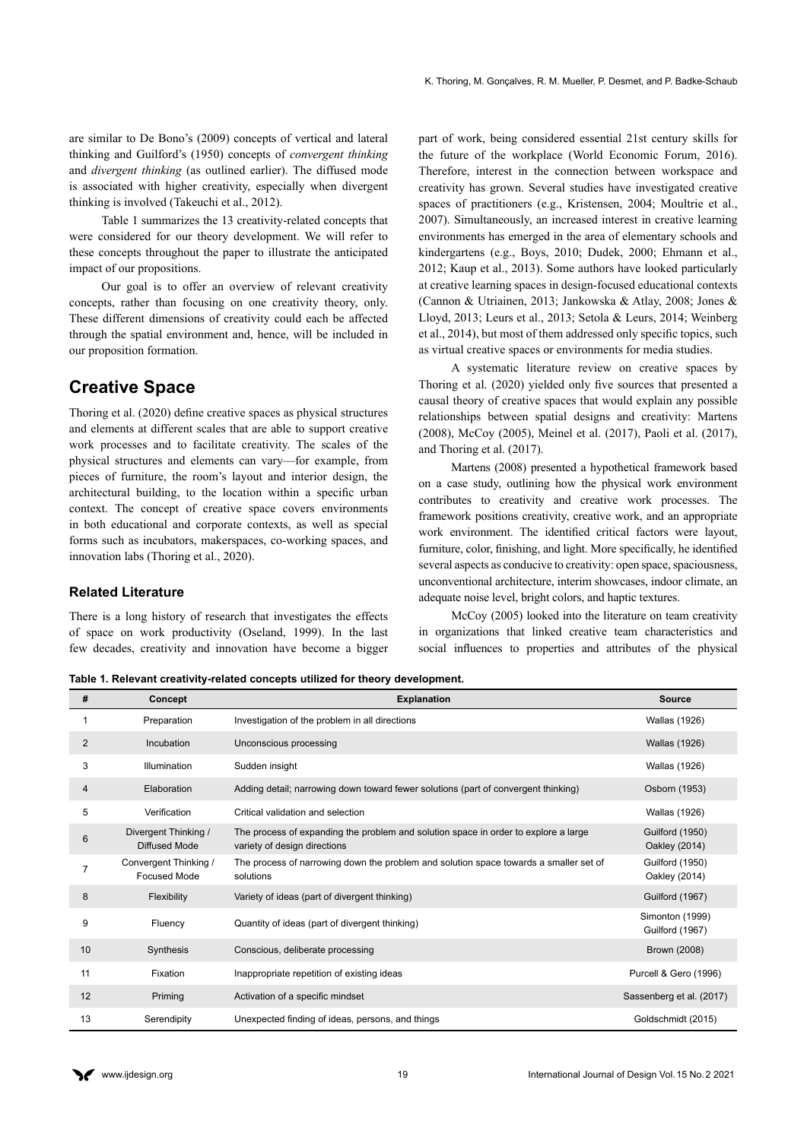are similar to De Bono's (2009) concepts of vertical and lateral thinking and Guilford's (1950) concepts of *convergent thinking*  and *divergent thinking* (as outlined earlier). The diffused mode is associated with higher creativity, especially when divergent thinking is involved (Takeuchi et al., 2012).

Table 1 summarizes the 13 creativity-related concepts that were considered for our theory development. We will refer to these concepts throughout the paper to illustrate the anticipated impact of our propositions.

Our goal is to offer an overview of relevant creativity concepts, rather than focusing on one creativity theory, only. These different dimensions of creativity could each be affected through the spatial environment and, hence, will be included in our proposition formation.

# **Creative Space**

Thoring et al. (2020) define creative spaces as physical structures and elements at different scales that are able to support creative work processes and to facilitate creativity. The scales of the physical structures and elements can vary—for example, from pieces of furniture, the room's layout and interior design, the architectural building, to the location within a specific urban context. The concept of creative space covers environments in both educational and corporate contexts, as well as special forms such as incubators, makerspaces, co-working spaces, and innovation labs (Thoring et al., 2020).

### **Related Literature**

There is a long history of research that investigates the effects of space on work productivity (Oseland, 1999). In the last few decades, creativity and innovation have become a bigger

part of work, being considered essential 21st century skills for the future of the workplace (World Economic Forum, 2016). Therefore, interest in the connection between workspace and creativity has grown. Several studies have investigated creative spaces of practitioners (e.g., Kristensen, 2004; Moultrie et al., 2007). Simultaneously, an increased interest in creative learning environments has emerged in the area of elementary schools and kindergartens (e.g., Boys, 2010; Dudek, 2000; Ehmann et al., 2012; Kaup et al., 2013). Some authors have looked particularly at creative learning spaces in design-focused educational contexts (Cannon & Utriainen, 2013; Jankowska & Atlay, 2008; Jones & Lloyd, 2013; Leurs et al., 2013; Setola & Leurs, 2014; Weinberg et al., 2014), but most of them addressed only specific topics, such as virtual creative spaces or environments for media studies.

A systematic literature review on creative spaces by Thoring et al. (2020) yielded only five sources that presented a causal theory of creative spaces that would explain any possible relationships between spatial designs and creativity: Martens (2008), McCoy (2005), Meinel et al. (2017), Paoli et al. (2017), and Thoring et al. (2017).

Martens (2008) presented a hypothetical framework based on a case study, outlining how the physical work environment contributes to creativity and creative work processes. The framework positions creativity, creative work, and an appropriate work environment. The identified critical factors were layout, furniture, color, finishing, and light. More specifically, he identified several aspects as conducive to creativity: open space, spaciousness, unconventional architecture, interim showcases, indoor climate, an adequate noise level, bright colors, and haptic textures.

McCoy (2005) looked into the literature on team creativity in organizations that linked creative team characteristics and social influences to properties and attributes of the physical

**Table 1. Relevant creativity-related concepts utilized for theory development.**

| #              | Concept                                      | <b>Explanation</b>                                                                                                  | <b>Source</b>                             |
|----------------|----------------------------------------------|---------------------------------------------------------------------------------------------------------------------|-------------------------------------------|
|                | Preparation                                  | Investigation of the problem in all directions                                                                      | Wallas (1926)                             |
| 2              | Incubation                                   | Unconscious processing                                                                                              | <b>Wallas (1926)</b>                      |
| 3              | Illumination                                 | Sudden insight                                                                                                      | <b>Wallas (1926)</b>                      |
| 4              | Elaboration                                  | Adding detail; narrowing down toward fewer solutions (part of convergent thinking)                                  | Osborn (1953)                             |
| 5              | Verification                                 | Critical validation and selection                                                                                   | <b>Wallas (1926)</b>                      |
| 6              | Divergent Thinking /<br>Diffused Mode        | The process of expanding the problem and solution space in order to explore a large<br>variety of design directions | <b>Guilford (1950)</b><br>Oakley (2014)   |
| $\overline{7}$ | Convergent Thinking /<br><b>Focused Mode</b> | The process of narrowing down the problem and solution space towards a smaller set of<br>solutions                  | <b>Guilford (1950)</b><br>Oakley (2014)   |
| 8              | Flexibility                                  | Variety of ideas (part of divergent thinking)                                                                       | <b>Guilford (1967)</b>                    |
| 9              | Fluency                                      | Quantity of ideas (part of divergent thinking)                                                                      | Simonton (1999)<br><b>Guilford (1967)</b> |
| 10             | Synthesis                                    | Conscious, deliberate processing                                                                                    | Brown (2008)                              |
| 11             | Fixation                                     | Inappropriate repetition of existing ideas                                                                          | Purcell & Gero (1996)                     |
| 12             | Priming                                      | Activation of a specific mindset                                                                                    | Sassenberg et al. (2017)                  |
| 13             | Serendipity                                  | Unexpected finding of ideas, persons, and things                                                                    | Goldschmidt (2015)                        |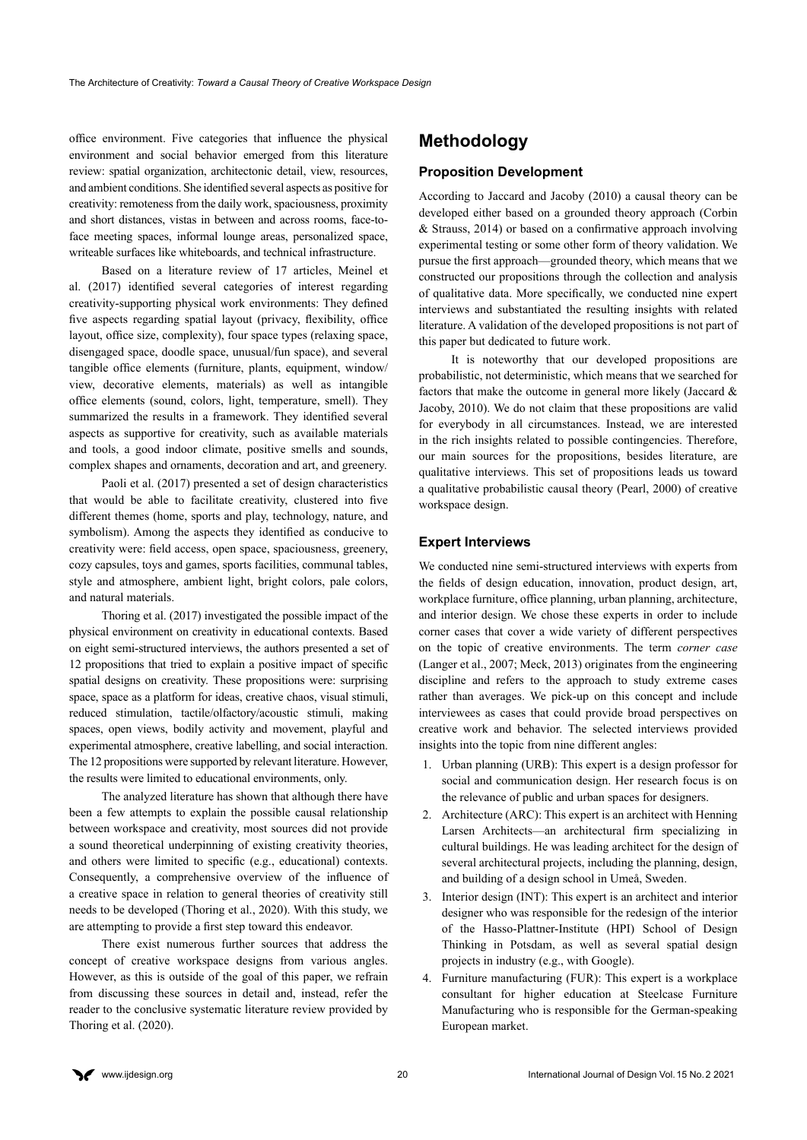office environment. Five categories that influence the physical environment and social behavior emerged from this literature review: spatial organization, architectonic detail, view, resources, and ambient conditions. She identified several aspects as positive for creativity: remoteness from the daily work, spaciousness, proximity and short distances, vistas in between and across rooms, face-toface meeting spaces, informal lounge areas, personalized space, writeable surfaces like whiteboards, and technical infrastructure.

Based on a literature review of 17 articles, Meinel et al. (2017) identified several categories of interest regarding creativity-supporting physical work environments: They defined five aspects regarding spatial layout (privacy, flexibility, office layout, office size, complexity), four space types (relaxing space, disengaged space, doodle space, unusual/fun space), and several tangible office elements (furniture, plants, equipment, window/ view, decorative elements, materials) as well as intangible office elements (sound, colors, light, temperature, smell). They summarized the results in a framework. They identified several aspects as supportive for creativity, such as available materials and tools, a good indoor climate, positive smells and sounds, complex shapes and ornaments, decoration and art, and greenery.

Paoli et al. (2017) presented a set of design characteristics that would be able to facilitate creativity, clustered into five different themes (home, sports and play, technology, nature, and symbolism). Among the aspects they identified as conducive to creativity were: field access, open space, spaciousness, greenery, cozy capsules, toys and games, sports facilities, communal tables, style and atmosphere, ambient light, bright colors, pale colors, and natural materials.

Thoring et al. (2017) investigated the possible impact of the physical environment on creativity in educational contexts. Based on eight semi-structured interviews, the authors presented a set of 12 propositions that tried to explain a positive impact of specific spatial designs on creativity. These propositions were: surprising space, space as a platform for ideas, creative chaos, visual stimuli, reduced stimulation, tactile/olfactory/acoustic stimuli, making spaces, open views, bodily activity and movement, playful and experimental atmosphere, creative labelling, and social interaction. The 12 propositions were supported by relevant literature. However, the results were limited to educational environments, only.

The analyzed literature has shown that although there have been a few attempts to explain the possible causal relationship between workspace and creativity, most sources did not provide a sound theoretical underpinning of existing creativity theories, and others were limited to specific (e.g., educational) contexts. Consequently, a comprehensive overview of the influence of a creative space in relation to general theories of creativity still needs to be developed (Thoring et al., 2020). With this study, we are attempting to provide a first step toward this endeavor.

There exist numerous further sources that address the concept of creative workspace designs from various angles. However, as this is outside of the goal of this paper, we refrain from discussing these sources in detail and, instead, refer the reader to the conclusive systematic literature review provided by Thoring et al. (2020).

# **Methodology**

# **Proposition Development**

According to Jaccard and Jacoby (2010) a causal theory can be developed either based on a grounded theory approach (Corbin & Strauss, 2014) or based on a confirmative approach involving experimental testing or some other form of theory validation. We pursue the first approach—grounded theory, which means that we constructed our propositions through the collection and analysis of qualitative data. More specifically, we conducted nine expert interviews and substantiated the resulting insights with related literature. A validation of the developed propositions is not part of this paper but dedicated to future work.

It is noteworthy that our developed propositions are probabilistic, not deterministic, which means that we searched for factors that make the outcome in general more likely (Jaccard  $\&$ Jacoby, 2010). We do not claim that these propositions are valid for everybody in all circumstances. Instead, we are interested in the rich insights related to possible contingencies. Therefore, our main sources for the propositions, besides literature, are qualitative interviews. This set of propositions leads us toward a qualitative probabilistic causal theory (Pearl, 2000) of creative workspace design.

# **Expert Interviews**

We conducted nine semi-structured interviews with experts from the fields of design education, innovation, product design, art, workplace furniture, office planning, urban planning, architecture, and interior design. We chose these experts in order to include corner cases that cover a wide variety of different perspectives on the topic of creative environments. The term *corner case*  (Langer et al., 2007; Meck, 2013) originates from the engineering discipline and refers to the approach to study extreme cases rather than averages. We pick-up on this concept and include interviewees as cases that could provide broad perspectives on creative work and behavior. The selected interviews provided insights into the topic from nine different angles:

- 1. Urban planning (URB): This expert is a design professor for social and communication design. Her research focus is on the relevance of public and urban spaces for designers.
- 2. Architecture (ARC): This expert is an architect with Henning Larsen Architects—an architectural firm specializing in cultural buildings. He was leading architect for the design of several architectural projects, including the planning, design, and building of a design school in Umeå, Sweden.
- 3. Interior design (INT): This expert is an architect and interior designer who was responsible for the redesign of the interior of the Hasso-Plattner-Institute (HPI) School of Design Thinking in Potsdam, as well as several spatial design projects in industry (e.g., with Google).
- 4. Furniture manufacturing (FUR): This expert is a workplace consultant for higher education at Steelcase Furniture Manufacturing who is responsible for the German-speaking European market.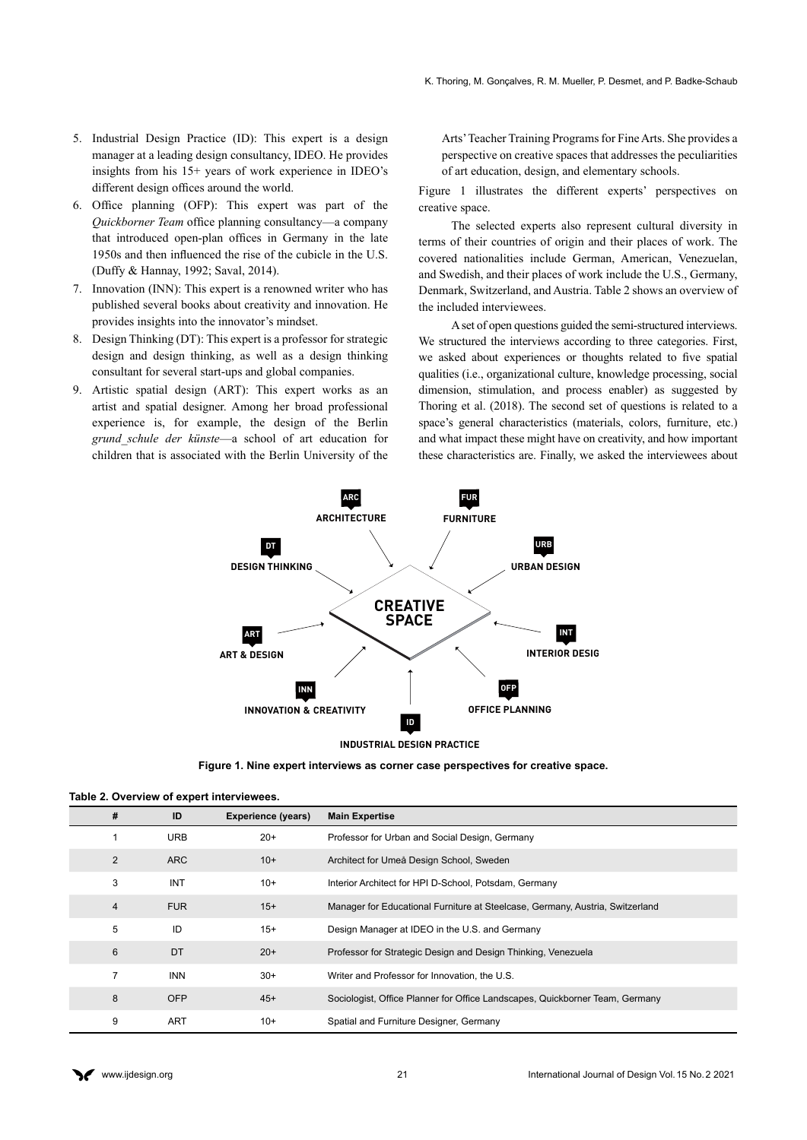- 5. Industrial Design Practice (ID): This expert is a design manager at a leading design consultancy, IDEO. He provides insights from his 15+ years of work experience in IDEO's different design offices around the world.
- 6. Office planning (OFP): This expert was part of the *Quickborner Team* office planning consultancy—a company that introduced open-plan offices in Germany in the late 1950s and then influenced the rise of the cubicle in the U.S. (Duffy & Hannay, 1992; Saval, 2014).
- 7. Innovation (INN): This expert is a renowned writer who has published several books about creativity and innovation. He provides insights into the innovator's mindset.
- 8. Design Thinking (DT): This expert is a professor for strategic design and design thinking, as well as a design thinking consultant for several start-ups and global companies.
- 9. Artistic spatial design (ART): This expert works as an artist and spatial designer. Among her broad professional experience is, for example, the design of the Berlin *grund\_schule der künste*—a school of art education for children that is associated with the Berlin University of the

Arts' Teacher Training Programs for Fine Arts. She provides a perspective on creative spaces that addresses the peculiarities of art education, design, and elementary schools.

Figure 1 illustrates the different experts' perspectives on creative space.

The selected experts also represent cultural diversity in terms of their countries of origin and their places of work. The covered nationalities include German, American, Venezuelan, and Swedish, and their places of work include the U.S., Germany, Denmark, Switzerland, and Austria. Table 2 shows an overview of the included interviewees.

A set of open questions guided the semi-structured interviews. We structured the interviews according to three categories. First, we asked about experiences or thoughts related to five spatial qualities (i.e., organizational culture, knowledge processing, social dimension, stimulation, and process enabler) as suggested by Thoring et al. (2018). The second set of questions is related to a space's general characteristics (materials, colors, furniture, etc.) and what impact these might have on creativity, and how important these characteristics are. Finally, we asked the interviewees about



**Figure 1. Nine expert interviews as corner case perspectives for creative space.**

|  |  |  | Table 2. Overview of expert interviewees. |
|--|--|--|-------------------------------------------|
|--|--|--|-------------------------------------------|

| #              | ID         | <b>Experience (years)</b> | <b>Main Expertise</b>                                                         |
|----------------|------------|---------------------------|-------------------------------------------------------------------------------|
|                | <b>URB</b> | $20+$                     | Professor for Urban and Social Design, Germany                                |
| 2              | <b>ARC</b> | $10+$                     | Architect for Umeå Design School, Sweden                                      |
| 3              | <b>INT</b> | $10+$                     | Interior Architect for HPI D-School, Potsdam, Germany                         |
| $\overline{4}$ | <b>FUR</b> | $15+$                     | Manager for Educational Furniture at Steelcase, Germany, Austria, Switzerland |
| 5              | ID         | $15+$                     | Design Manager at IDEO in the U.S. and Germany                                |
| 6              | DT         | $20+$                     | Professor for Strategic Design and Design Thinking, Venezuela                 |
| 7              | <b>INN</b> | $30+$                     | Writer and Professor for Innovation, the U.S.                                 |
| 8              | <b>OFP</b> | $45+$                     | Sociologist, Office Planner for Office Landscapes, Quickborner Team, Germany  |
| 9              | <b>ART</b> | $10+$                     | Spatial and Furniture Designer, Germany                                       |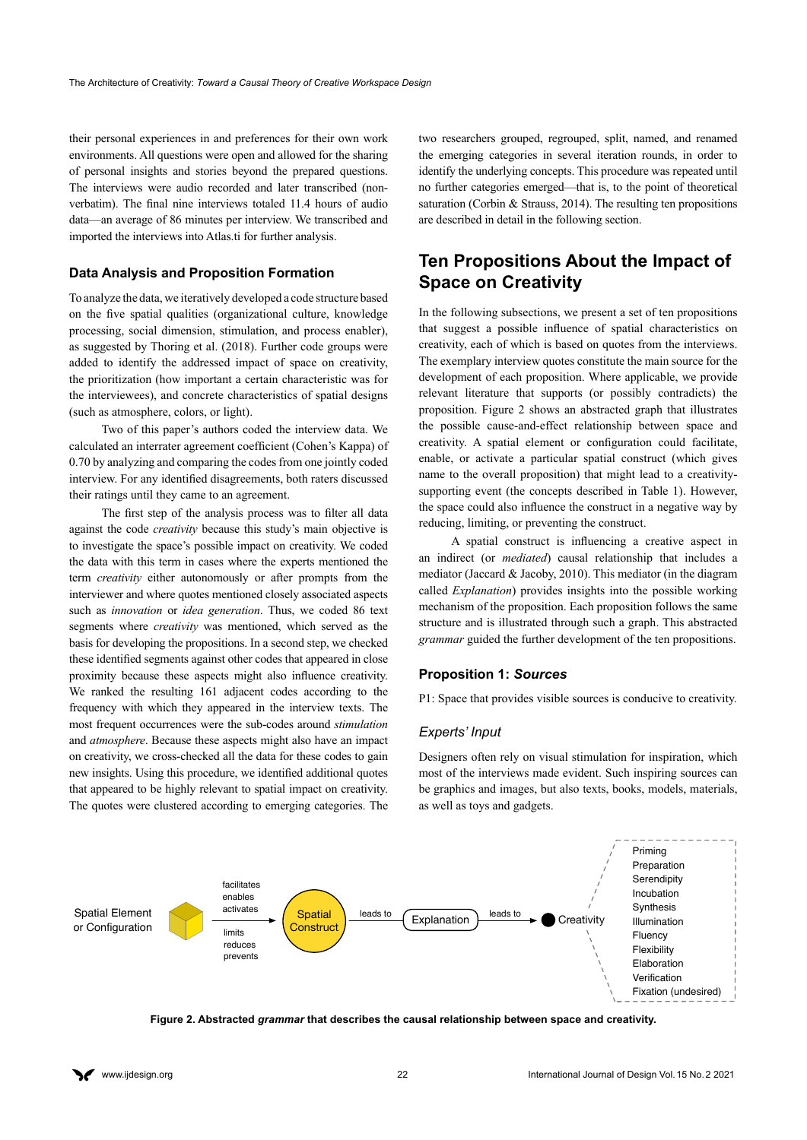their personal experiences in and preferences for their own work environments. All questions were open and allowed for the sharing of personal insights and stories beyond the prepared questions. The interviews were audio recorded and later transcribed (nonverbatim). The final nine interviews totaled 11.4 hours of audio data—an average of 86 minutes per interview. We transcribed and imported the interviews into Atlas.ti for further analysis.

# **Data Analysis and Proposition Formation**

To analyze the data, we iteratively developed a code structure based on the five spatial qualities (organizational culture, knowledge processing, social dimension, stimulation, and process enabler), as suggested by Thoring et al. (2018). Further code groups were added to identify the addressed impact of space on creativity, the prioritization (how important a certain characteristic was for the interviewees), and concrete characteristics of spatial designs (such as atmosphere, colors, or light).

Two of this paper's authors coded the interview data. We calculated an interrater agreement coefficient (Cohen's Kappa) of 0.70 by analyzing and comparing the codes from one jointly coded interview. For any identified disagreements, both raters discussed their ratings until they came to an agreement.

The first step of the analysis process was to filter all data against the code *creativity* because this study's main objective is to investigate the space's possible impact on creativity. We coded the data with this term in cases where the experts mentioned the term *creativity* either autonomously or after prompts from the interviewer and where quotes mentioned closely associated aspects such as *innovation* or *idea generation*. Thus, we coded 86 text segments where *creativity* was mentioned, which served as the basis for developing the propositions. In a second step, we checked these identified segments against other codes that appeared in close proximity because these aspects might also influence creativity. We ranked the resulting 161 adjacent codes according to the frequency with which they appeared in the interview texts. The most frequent occurrences were the sub-codes around *stimulation*  and *atmosphere*. Because these aspects might also have an impact on creativity, we cross-checked all the data for these codes to gain new insights. Using this procedure, we identified additional quotes that appeared to be highly relevant to spatial impact on creativity. The quotes were clustered according to emerging categories. The two researchers grouped, regrouped, split, named, and renamed the emerging categories in several iteration rounds, in order to identify the underlying concepts. This procedure was repeated until no further categories emerged—that is, to the point of theoretical saturation (Corbin & Strauss, 2014). The resulting ten propositions are described in detail in the following section.

# **Ten Propositions About the Impact of Space on Creativity**

In the following subsections, we present a set of ten propositions that suggest a possible influence of spatial characteristics on creativity, each of which is based on quotes from the interviews. The exemplary interview quotes constitute the main source for the development of each proposition. Where applicable, we provide relevant literature that supports (or possibly contradicts) the proposition. Figure 2 shows an abstracted graph that illustrates the possible cause-and-effect relationship between space and creativity. A spatial element or configuration could facilitate, enable, or activate a particular spatial construct (which gives name to the overall proposition) that might lead to a creativitysupporting event (the concepts described in Table 1). However, the space could also influence the construct in a negative way by reducing, limiting, or preventing the construct.

A spatial construct is influencing a creative aspect in an indirect (or *mediated*) causal relationship that includes a mediator (Jaccard & Jacoby, 2010). This mediator (in the diagram called *Explanation*) provides insights into the possible working mechanism of the proposition. Each proposition follows the same structure and is illustrated through such a graph. This abstracted *grammar* guided the further development of the ten propositions.

#### **Proposition 1:** *Sources*

P1: Space that provides visible sources is conducive to creativity.

#### *Experts' Input*

Designers often rely on visual stimulation for inspiration, which most of the interviews made evident. Such inspiring sources can be graphics and images, but also texts, books, models, materials, as well as toys and gadgets.



**Figure 2. Abstracted** *grammar* **that describes the causal relationship between space and creativity.**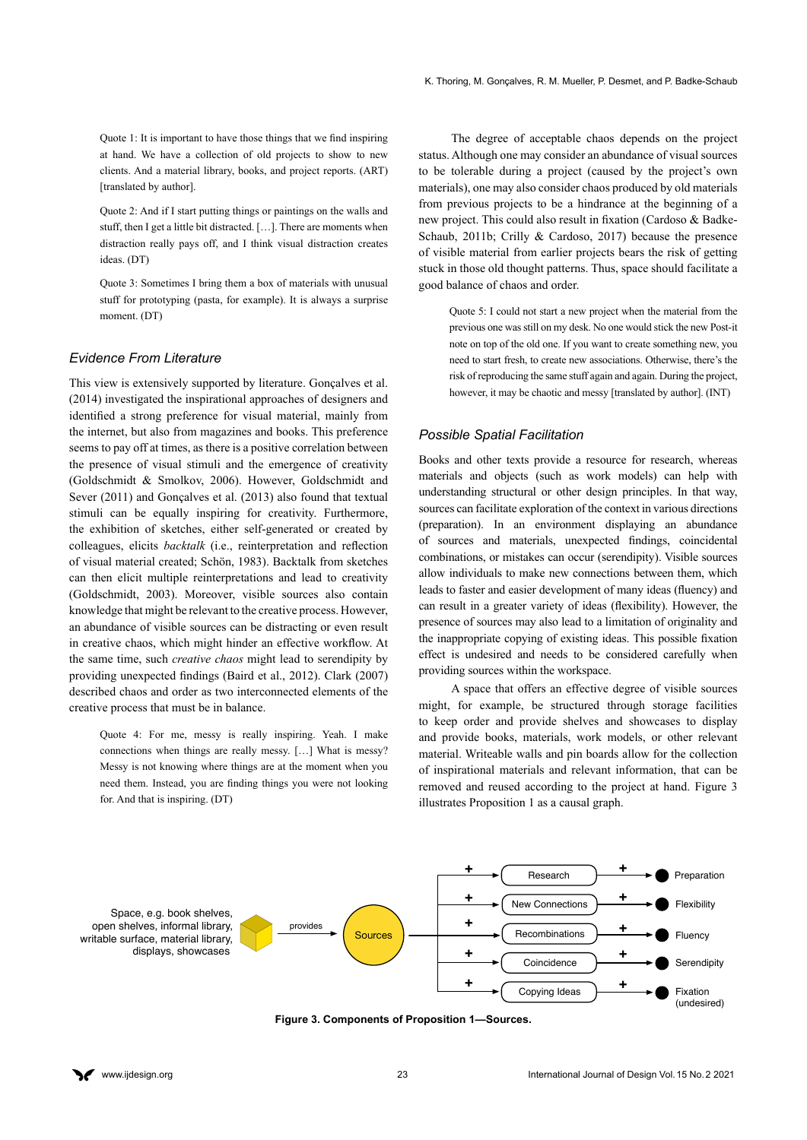Quote 1: It is important to have those things that we find inspiring at hand. We have a collection of old projects to show to new clients. And a material library, books, and project reports. (ART) [translated by author].

Quote 2: And if I start putting things or paintings on the walls and stuff, then I get a little bit distracted. […]. There are moments when distraction really pays off, and I think visual distraction creates ideas. (DT)

Quote 3: Sometimes I bring them a box of materials with unusual stuff for prototyping (pasta, for example). It is always a surprise moment. (DT)

# *Evidence From Literature*

This view is extensively supported by literature. Gonçalves et al. (2014) investigated the inspirational approaches of designers and identified a strong preference for visual material, mainly from the internet, but also from magazines and books. This preference seems to pay off at times, as there is a positive correlation between the presence of visual stimuli and the emergence of creativity (Goldschmidt & Smolkov, 2006). However, Goldschmidt and Sever (2011) and Gonçalves et al. (2013) also found that textual stimuli can be equally inspiring for creativity. Furthermore, the exhibition of sketches, either self-generated or created by colleagues, elicits *backtalk* (i.e., reinterpretation and reflection of visual material created; Schön, 1983). Backtalk from sketches can then elicit multiple reinterpretations and lead to creativity (Goldschmidt, 2003). Moreover, visible sources also contain knowledge that might be relevant to the creative process. However, an abundance of visible sources can be distracting or even result in creative chaos, which might hinder an effective workflow. At the same time, such *creative chaos* might lead to serendipity by providing unexpected findings (Baird et al., 2012). Clark (2007) described chaos and order as two interconnected elements of the creative process that must be in balance.

Quote 4: For me, messy is really inspiring. Yeah. I make connections when things are really messy. […] What is messy? Messy is not knowing where things are at the moment when you need them. Instead, you are finding things you were not looking for. And that is inspiring. (DT)

The degree of acceptable chaos depends on the project status. Although one may consider an abundance of visual sources to be tolerable during a project (caused by the project's own materials), one may also consider chaos produced by old materials from previous projects to be a hindrance at the beginning of a new project. This could also result in fixation (Cardoso & Badke-Schaub, 2011b; Crilly & Cardoso, 2017) because the presence of visible material from earlier projects bears the risk of getting stuck in those old thought patterns. Thus, space should facilitate a good balance of chaos and order.

Quote 5: I could not start a new project when the material from the previous one was still on my desk. No one would stick the new Post-it note on top of the old one. If you want to create something new, you need to start fresh, to create new associations. Otherwise, there's the risk of reproducing the same stuff again and again. During the project, however, it may be chaotic and messy [translated by author]. (INT)

### *Possible Spatial Facilitation*

Books and other texts provide a resource for research, whereas materials and objects (such as work models) can help with understanding structural or other design principles. In that way, sources can facilitate exploration of the context in various directions (preparation). In an environment displaying an abundance of sources and materials, unexpected findings, coincidental combinations, or mistakes can occur (serendipity). Visible sources allow individuals to make new connections between them, which leads to faster and easier development of many ideas (fluency) and can result in a greater variety of ideas (flexibility). However, the presence of sources may also lead to a limitation of originality and the inappropriate copying of existing ideas. This possible fixation effect is undesired and needs to be considered carefully when providing sources within the workspace.

A space that offers an effective degree of visible sources might, for example, be structured through storage facilities to keep order and provide shelves and showcases to display and provide books, materials, work models, or other relevant material. Writeable walls and pin boards allow for the collection of inspirational materials and relevant information, that can be removed and reused according to the project at hand. Figure 3 illustrates Proposition 1 as a causal graph.



**Figure 3. Components of Proposition 1—Sources.**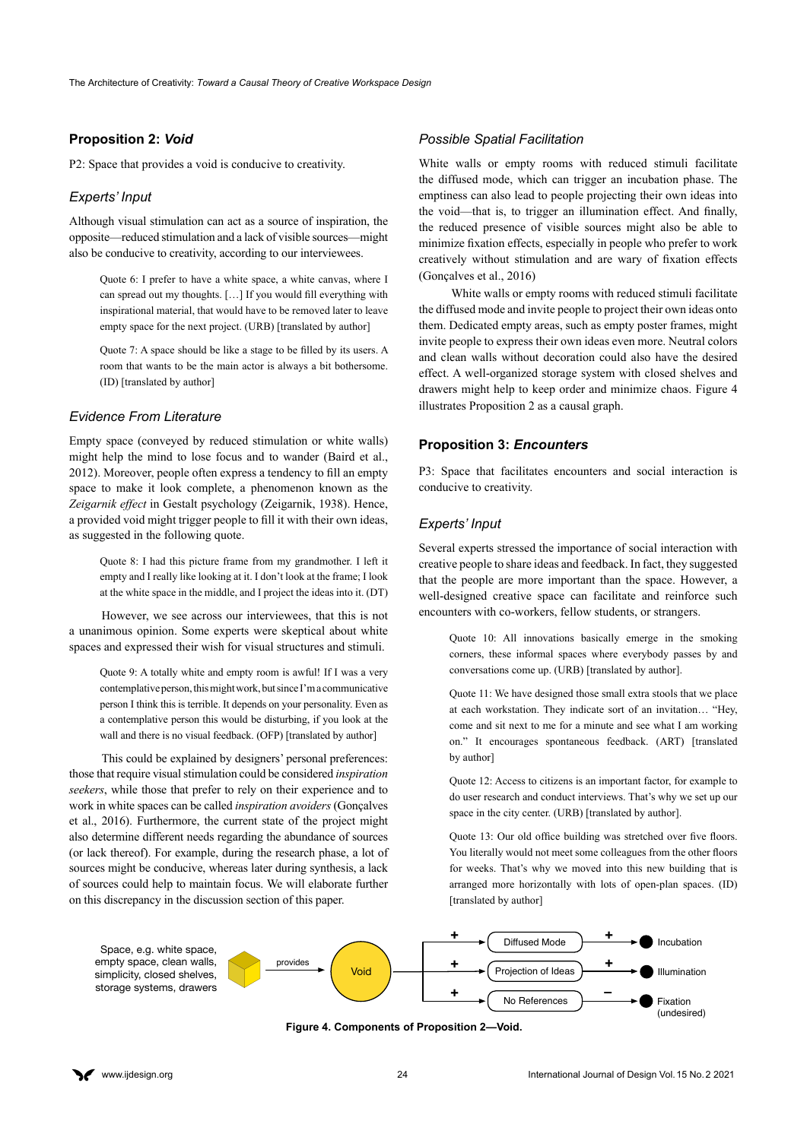# **Proposition 2:** *Void*

P2: Space that provides a void is conducive to creativity.

#### *Experts' Input*

Although visual stimulation can act as a source of inspiration, the opposite—reduced stimulation and a lack of visible sources—might also be conducive to creativity, according to our interviewees.

Quote 6: I prefer to have a white space, a white canvas, where I can spread out my thoughts. […] If you would fill everything with inspirational material, that would have to be removed later to leave empty space for the next project. (URB) [translated by author]

Quote 7: A space should be like a stage to be filled by its users. A room that wants to be the main actor is always a bit bothersome. (ID) [translated by author]

#### *Evidence From Literature*

Empty space (conveyed by reduced stimulation or white walls) might help the mind to lose focus and to wander (Baird et al., 2012). Moreover, people often express a tendency to fill an empty space to make it look complete, a phenomenon known as the *Zeigarnik effect* in Gestalt psychology (Zeigarnik, 1938). Hence, a provided void might trigger people to fill it with their own ideas, as suggested in the following quote.

Quote 8: I had this picture frame from my grandmother. I left it empty and I really like looking at it. I don't look at the frame; I look at the white space in the middle, and I project the ideas into it. (DT)

However, we see across our interviewees, that this is not a unanimous opinion. Some experts were skeptical about white spaces and expressed their wish for visual structures and stimuli.

Quote 9: A totally white and empty room is awful! If I was a very contemplative person, this might work, but since I'm a communicative person I think this is terrible. It depends on your personality. Even as a contemplative person this would be disturbing, if you look at the wall and there is no visual feedback. (OFP) [translated by author]

This could be explained by designers' personal preferences: those that require visual stimulation could be considered *inspiration seekers*, while those that prefer to rely on their experience and to work in white spaces can be called *inspiration avoiders* (Gonçalves et al., 2016). Furthermore, the current state of the project might also determine different needs regarding the abundance of sources (or lack thereof). For example, during the research phase, a lot of sources might be conducive, whereas later during synthesis, a lack of sources could help to maintain focus. We will elaborate further on this discrepancy in the discussion section of this paper.

#### *Possible Spatial Facilitation*

White walls or empty rooms with reduced stimuli facilitate the diffused mode, which can trigger an incubation phase. The emptiness can also lead to people projecting their own ideas into the void—that is, to trigger an illumination effect. And finally, the reduced presence of visible sources might also be able to minimize fixation effects, especially in people who prefer to work creatively without stimulation and are wary of fixation effects (Gonçalves et al., 2016)

White walls or empty rooms with reduced stimuli facilitate the diffused mode and invite people to project their own ideas onto them. Dedicated empty areas, such as empty poster frames, might invite people to express their own ideas even more. Neutral colors and clean walls without decoration could also have the desired effect. A well-organized storage system with closed shelves and drawers might help to keep order and minimize chaos. Figure 4 illustrates Proposition 2 as a causal graph.

### **Proposition 3:** *Encounters*

P3: Space that facilitates encounters and social interaction is conducive to creativity.

#### *Experts' Input*

Several experts stressed the importance of social interaction with creative people to share ideas and feedback. In fact, they suggested that the people are more important than the space. However, a well-designed creative space can facilitate and reinforce such encounters with co-workers, fellow students, or strangers.

Quote 10: All innovations basically emerge in the smoking corners, these informal spaces where everybody passes by and conversations come up. (URB) [translated by author].

Quote 11: We have designed those small extra stools that we place at each workstation. They indicate sort of an invitation… "Hey, come and sit next to me for a minute and see what I am working on." It encourages spontaneous feedback. (ART) [translated by author]

Quote 12: Access to citizens is an important factor, for example to do user research and conduct interviews. That's why we set up our space in the city center. (URB) [translated by author].

Quote 13: Our old office building was stretched over five floors. You literally would not meet some colleagues from the other floors for weeks. That's why we moved into this new building that is arranged more horizontally with lots of open-plan spaces. (ID) [translated by author]



**Figure 4. Components of Proposition 2—Void.**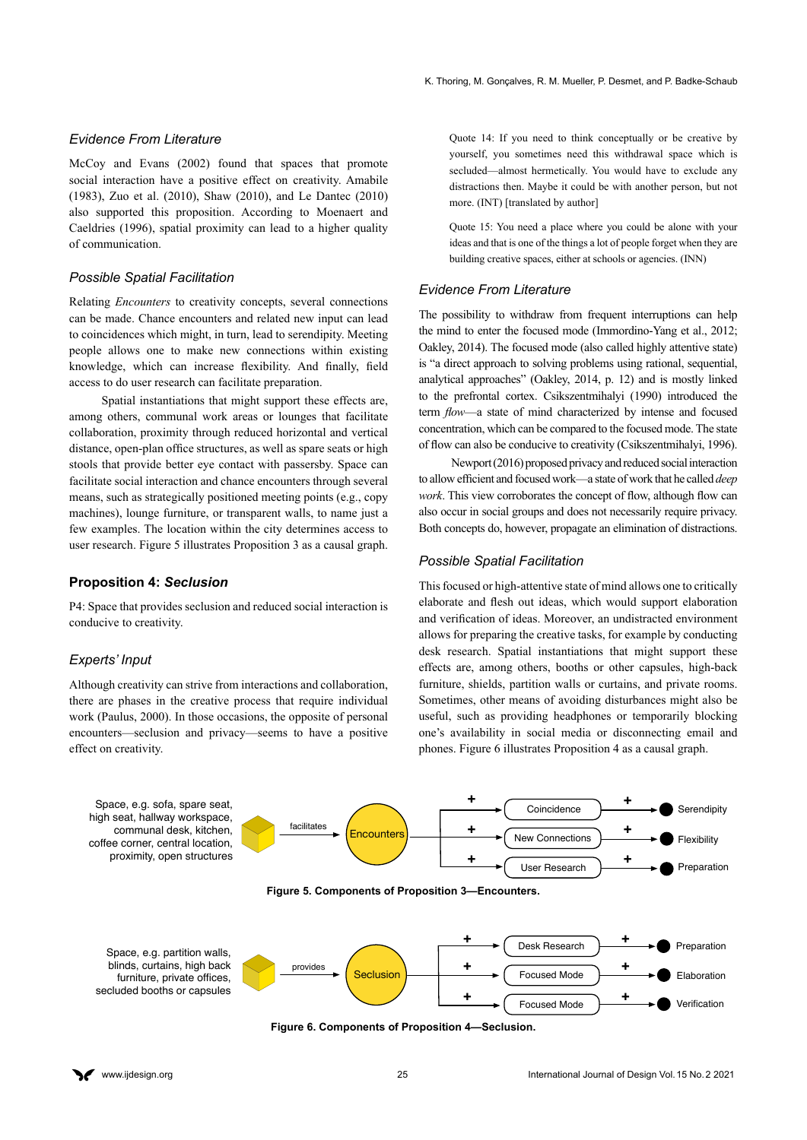#### *Evidence From Literature*

McCoy and Evans (2002) found that spaces that promote social interaction have a positive effect on creativity. Amabile (1983), Zuo et al. (2010), Shaw (2010), and Le Dantec (2010) also supported this proposition. According to Moenaert and Caeldries (1996), spatial proximity can lead to a higher quality of communication.

### *Possible Spatial Facilitation*

Relating *Encounters* to creativity concepts, several connections can be made. Chance encounters and related new input can lead to coincidences which might, in turn, lead to serendipity. Meeting people allows one to make new connections within existing knowledge, which can increase flexibility. And finally, field access to do user research can facilitate preparation.

Spatial instantiations that might support these effects are, among others, communal work areas or lounges that facilitate collaboration, proximity through reduced horizontal and vertical distance, open-plan office structures, as well as spare seats or high stools that provide better eye contact with passersby. Space can facilitate social interaction and chance encounters through several means, such as strategically positioned meeting points (e.g., copy machines), lounge furniture, or transparent walls, to name just a few examples. The location within the city determines access to user research. Figure 5 illustrates Proposition 3 as a causal graph.

#### **Proposition 4:** *Seclusion*

P4: Space that provides seclusion and reduced social interaction is conducive to creativity.

# *Experts' Input*

Although creativity can strive from interactions and collaboration, there are phases in the creative process that require individual work (Paulus, 2000). In those occasions, the opposite of personal encounters—seclusion and privacy—seems to have a positive effect on creativity.

Quote 14: If you need to think conceptually or be creative by yourself, you sometimes need this withdrawal space which is secluded—almost hermetically. You would have to exclude any distractions then. Maybe it could be with another person, but not more. (INT) [translated by author]

Quote 15: You need a place where you could be alone with your ideas and that is one of the things a lot of people forget when they are building creative spaces, either at schools or agencies. (INN)

### *Evidence From Literature*

The possibility to withdraw from frequent interruptions can help the mind to enter the focused mode (Immordino-Yang et al., 2012; Oakley, 2014). The focused mode (also called highly attentive state) is "a direct approach to solving problems using rational, sequential, analytical approaches" (Oakley, 2014, p. 12) and is mostly linked to the prefrontal cortex. Csikszentmihalyi (1990) introduced the term *flow*—a state of mind characterized by intense and focused concentration, which can be compared to the focused mode. The state of flow can also be conducive to creativity (Csikszentmihalyi, 1996).

Newport (2016) proposed privacy and reduced social interaction to allow efficient and focused work—a state of work that he called *deep work*. This view corroborates the concept of flow, although flow can also occur in social groups and does not necessarily require privacy. Both concepts do, however, propagate an elimination of distractions.

### *Possible Spatial Facilitation*

This focused or high-attentive state of mind allows one to critically elaborate and flesh out ideas, which would support elaboration and verification of ideas. Moreover, an undistracted environment allows for preparing the creative tasks, for example by conducting desk research. Spatial instantiations that might support these effects are, among others, booths or other capsules, high-back furniture, shields, partition walls or curtains, and private rooms. Sometimes, other means of avoiding disturbances might also be useful, such as providing headphones or temporarily blocking one's availability in social media or disconnecting email and phones. Figure 6 illustrates Proposition 4 as a causal graph.



**Figure 6. Components of Proposition 4—Seclusion.**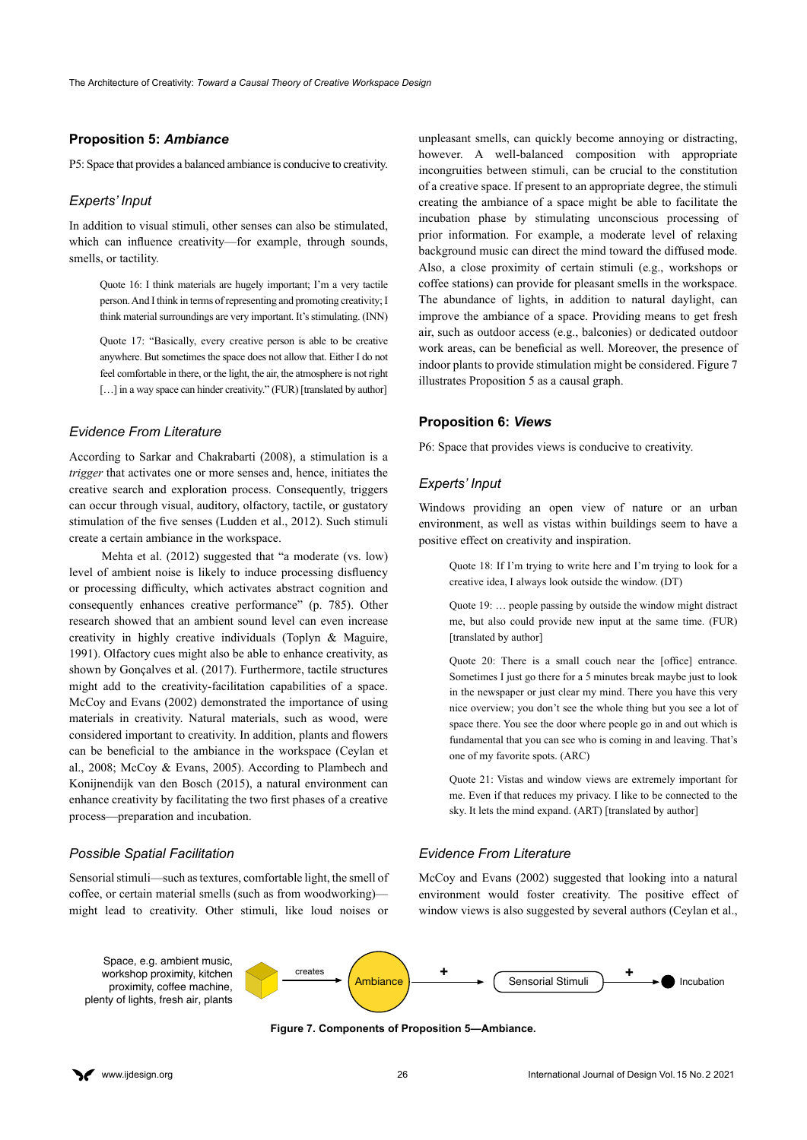# **Proposition 5:** *Ambiance*

P5: Space that provides a balanced ambiance is conducive to creativity.

### *Experts' Input*

In addition to visual stimuli, other senses can also be stimulated, which can influence creativity—for example, through sounds, smells, or tactility.

Quote 16: I think materials are hugely important; I'm a very tactile person. And I think in terms of representing and promoting creativity; I think material surroundings are very important. It's stimulating. (INN)

Quote 17: "Basically, every creative person is able to be creative anywhere. But sometimes the space does not allow that. Either I do not feel comfortable in there, or the light, the air, the atmosphere is not right [...] in a way space can hinder creativity." (FUR) [translated by author]

#### *Evidence From Literature*

According to Sarkar and Chakrabarti (2008), a stimulation is a *trigger* that activates one or more senses and, hence, initiates the creative search and exploration process. Consequently, triggers can occur through visual, auditory, olfactory, tactile, or gustatory stimulation of the five senses (Ludden et al., 2012). Such stimuli create a certain ambiance in the workspace.

Mehta et al. (2012) suggested that "a moderate (vs. low) level of ambient noise is likely to induce processing disfluency or processing difficulty, which activates abstract cognition and consequently enhances creative performance" (p. 785). Other research showed that an ambient sound level can even increase creativity in highly creative individuals (Toplyn & Maguire, 1991). Olfactory cues might also be able to enhance creativity, as shown by Gonçalves et al. (2017). Furthermore, tactile structures might add to the creativity-facilitation capabilities of a space. McCoy and Evans (2002) demonstrated the importance of using materials in creativity. Natural materials, such as wood, were considered important to creativity. In addition, plants and flowers can be beneficial to the ambiance in the workspace (Ceylan et al., 2008; McCoy & Evans, 2005). According to Plambech and Konijnendijk van den Bosch (2015), a natural environment can enhance creativity by facilitating the two first phases of a creative process—preparation and incubation.

#### *Possible Spatial Facilitation*

Sensorial stimuli—such as textures, comfortable light, the smell of coffee, or certain material smells (such as from woodworking) might lead to creativity. Other stimuli, like loud noises or

unpleasant smells, can quickly become annoying or distracting, however. A well-balanced composition with appropriate incongruities between stimuli, can be crucial to the constitution of a creative space. If present to an appropriate degree, the stimuli creating the ambiance of a space might be able to facilitate the incubation phase by stimulating unconscious processing of prior information. For example, a moderate level of relaxing background music can direct the mind toward the diffused mode. Also, a close proximity of certain stimuli (e.g., workshops or coffee stations) can provide for pleasant smells in the workspace. The abundance of lights, in addition to natural daylight, can improve the ambiance of a space. Providing means to get fresh air, such as outdoor access (e.g., balconies) or dedicated outdoor work areas, can be beneficial as well. Moreover, the presence of indoor plants to provide stimulation might be considered. Figure 7 illustrates Proposition 5 as a causal graph.

#### **Proposition 6:** *Views*

P6: Space that provides views is conducive to creativity.

#### *Experts' Input*

Windows providing an open view of nature or an urban environment, as well as vistas within buildings seem to have a positive effect on creativity and inspiration.

Quote 18: If I'm trying to write here and I'm trying to look for a creative idea, I always look outside the window. (DT)

Quote 19: … people passing by outside the window might distract me, but also could provide new input at the same time. (FUR) [translated by author]

Quote 20: There is a small couch near the [office] entrance. Sometimes I just go there for a 5 minutes break maybe just to look in the newspaper or just clear my mind. There you have this very nice overview; you don't see the whole thing but you see a lot of space there. You see the door where people go in and out which is fundamental that you can see who is coming in and leaving. That's one of my favorite spots. (ARC)

Quote 21: Vistas and window views are extremely important for me. Even if that reduces my privacy. I like to be connected to the sky. It lets the mind expand. (ART) [translated by author]

# *Evidence From Literature*

McCoy and Evans (2002) suggested that looking into a natural environment would foster creativity. The positive effect of window views is also suggested by several authors (Ceylan et al.,



**Figure 7. Components of Proposition 5—Ambiance.**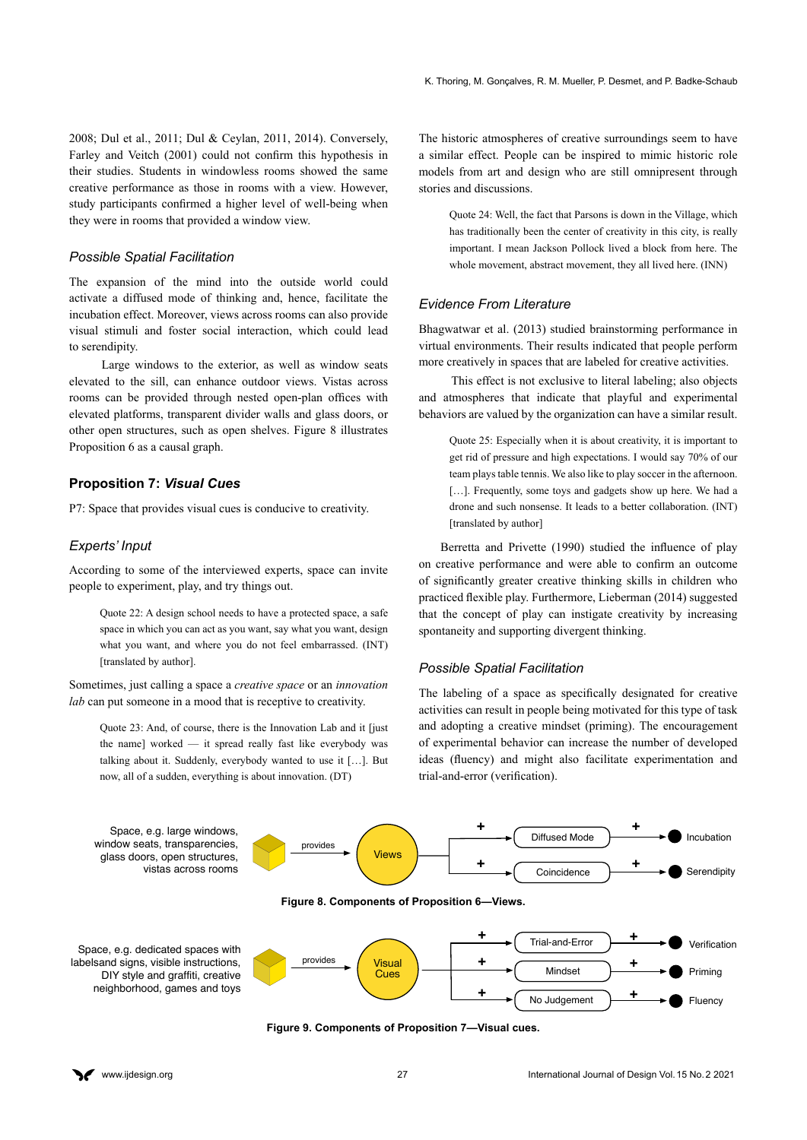2008; Dul et al., 2011; Dul & Ceylan, 2011, 2014). Conversely, Farley and Veitch (2001) could not confirm this hypothesis in their studies. Students in windowless rooms showed the same creative performance as those in rooms with a view. However, study participants confirmed a higher level of well-being when they were in rooms that provided a window view.

#### *Possible Spatial Facilitation*

The expansion of the mind into the outside world could activate a diffused mode of thinking and, hence, facilitate the incubation effect. Moreover, views across rooms can also provide visual stimuli and foster social interaction, which could lead to serendipity.

Large windows to the exterior, as well as window seats elevated to the sill, can enhance outdoor views. Vistas across rooms can be provided through nested open-plan offices with elevated platforms, transparent divider walls and glass doors, or other open structures, such as open shelves. Figure 8 illustrates Proposition 6 as a causal graph.

# **Proposition 7:** *Visual Cues*

P7: Space that provides visual cues is conducive to creativity.

#### *Experts' Input*

According to some of the interviewed experts, space can invite people to experiment, play, and try things out.

Quote 22: A design school needs to have a protected space, a safe space in which you can act as you want, say what you want, design what you want, and where you do not feel embarrassed. (INT) [translated by author].

Sometimes, just calling a space a *creative space* or an *innovation lab* can put someone in a mood that is receptive to creativity.

Quote 23: And, of course, there is the Innovation Lab and it [just the name] worked — it spread really fast like everybody was talking about it. Suddenly, everybody wanted to use it […]. But now, all of a sudden, everything is about innovation. (DT)

The historic atmospheres of creative surroundings seem to have a similar effect. People can be inspired to mimic historic role models from art and design who are still omnipresent through stories and discussions.

Quote 24: Well, the fact that Parsons is down in the Village, which has traditionally been the center of creativity in this city, is really important. I mean Jackson Pollock lived a block from here. The whole movement, abstract movement, they all lived here. (INN)

### *Evidence From Literature*

Bhagwatwar et al. (2013) studied brainstorming performance in virtual environments. Their results indicated that people perform more creatively in spaces that are labeled for creative activities.

This effect is not exclusive to literal labeling; also objects and atmospheres that indicate that playful and experimental behaviors are valued by the organization can have a similar result.

Quote 25: Especially when it is about creativity, it is important to get rid of pressure and high expectations. I would say 70% of our team plays table tennis. We also like to play soccer in the afternoon. [...]. Frequently, some toys and gadgets show up here. We had a drone and such nonsense. It leads to a better collaboration. (INT) [translated by author]

 Berretta and Privette (1990) studied the influence of play on creative performance and were able to confirm an outcome of significantly greater creative thinking skills in children who practiced flexible play. Furthermore, Lieberman (2014) suggested that the concept of play can instigate creativity by increasing spontaneity and supporting divergent thinking.

#### *Possible Spatial Facilitation*

The labeling of a space as specifically designated for creative activities can result in people being motivated for this type of task and adopting a creative mindset (priming). The encouragement of experimental behavior can increase the number of developed ideas (fluency) and might also facilitate experimentation and trial-and-error (verification).



**Figure 9. Components of Proposition 7—Visual cues.**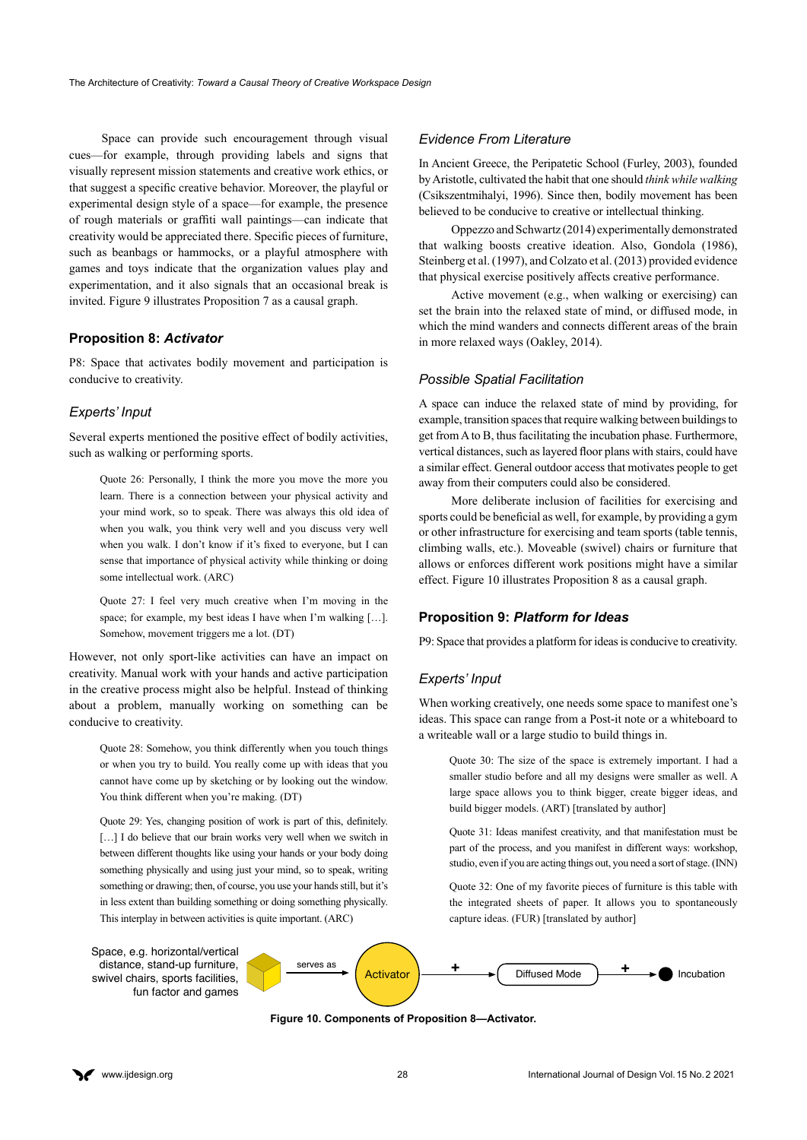Space can provide such encouragement through visual cues—for example, through providing labels and signs that visually represent mission statements and creative work ethics, or that suggest a specific creative behavior. Moreover, the playful or experimental design style of a space—for example, the presence of rough materials or graffiti wall paintings—can indicate that creativity would be appreciated there. Specific pieces of furniture, such as beanbags or hammocks, or a playful atmosphere with games and toys indicate that the organization values play and experimentation, and it also signals that an occasional break is invited. Figure 9 illustrates Proposition 7 as a causal graph.

# **Proposition 8:** *Activator*

P8: Space that activates bodily movement and participation is conducive to creativity.

#### *Experts' Input*

Several experts mentioned the positive effect of bodily activities, such as walking or performing sports.

Quote 26: Personally, I think the more you move the more you learn. There is a connection between your physical activity and your mind work, so to speak. There was always this old idea of when you walk, you think very well and you discuss very well when you walk. I don't know if it's fixed to everyone, but I can sense that importance of physical activity while thinking or doing some intellectual work. (ARC)

Quote 27: I feel very much creative when I'm moving in the space; for example, my best ideas I have when I'm walking […]. Somehow, movement triggers me a lot. (DT)

However, not only sport-like activities can have an impact on creativity. Manual work with your hands and active participation in the creative process might also be helpful. Instead of thinking about a problem, manually working on something can be conducive to creativity.

Quote 28: Somehow, you think differently when you touch things or when you try to build. You really come up with ideas that you cannot have come up by sketching or by looking out the window. You think different when you're making. (DT)

Quote 29: Yes, changing position of work is part of this, definitely. [...] I do believe that our brain works very well when we switch in between different thoughts like using your hands or your body doing something physically and using just your mind, so to speak, writing something or drawing; then, of course, you use your hands still, but it's in less extent than building something or doing something physically. This interplay in between activities is quite important. (ARC)

#### *Evidence From Literature*

In Ancient Greece, the Peripatetic School (Furley, 2003), founded by Aristotle, cultivated the habit that one should *think while walking*  (Csikszentmihalyi, 1996). Since then, bodily movement has been believed to be conducive to creative or intellectual thinking.

Oppezzo and Schwartz (2014) experimentally demonstrated that walking boosts creative ideation. Also, Gondola (1986), Steinberg et al. (1997), and Colzato et al. (2013) provided evidence that physical exercise positively affects creative performance.

Active movement (e.g., when walking or exercising) can set the brain into the relaxed state of mind, or diffused mode, in which the mind wanders and connects different areas of the brain in more relaxed ways (Oakley, 2014).

#### *Possible Spatial Facilitation*

A space can induce the relaxed state of mind by providing, for example, transition spaces that require walking between buildings to get from A to B, thus facilitating the incubation phase. Furthermore, vertical distances, such as layered floor plans with stairs, could have a similar effect. General outdoor access that motivates people to get away from their computers could also be considered.

More deliberate inclusion of facilities for exercising and sports could be beneficial as well, for example, by providing a gym or other infrastructure for exercising and team sports (table tennis, climbing walls, etc.). Moveable (swivel) chairs or furniture that allows or enforces different work positions might have a similar effect. Figure 10 illustrates Proposition 8 as a causal graph.

#### **Proposition 9:** *Platform for Ideas*

P9: Space that provides a platform for ideas is conducive to creativity.

#### *Experts' Input*

When working creatively, one needs some space to manifest one's ideas. This space can range from a Post-it note or a whiteboard to a writeable wall or a large studio to build things in.

Quote 30: The size of the space is extremely important. I had a smaller studio before and all my designs were smaller as well. A large space allows you to think bigger, create bigger ideas, and build bigger models. (ART) [translated by author]

Quote 31: Ideas manifest creativity, and that manifestation must be part of the process, and you manifest in different ways: workshop, studio, even if you are acting things out, you need a sort of stage. (INN)

Quote 32: One of my favorite pieces of furniture is this table with the integrated sheets of paper. It allows you to spontaneously capture ideas. (FUR) [translated by author]



**Figure 10. Components of Proposition 8—Activator.**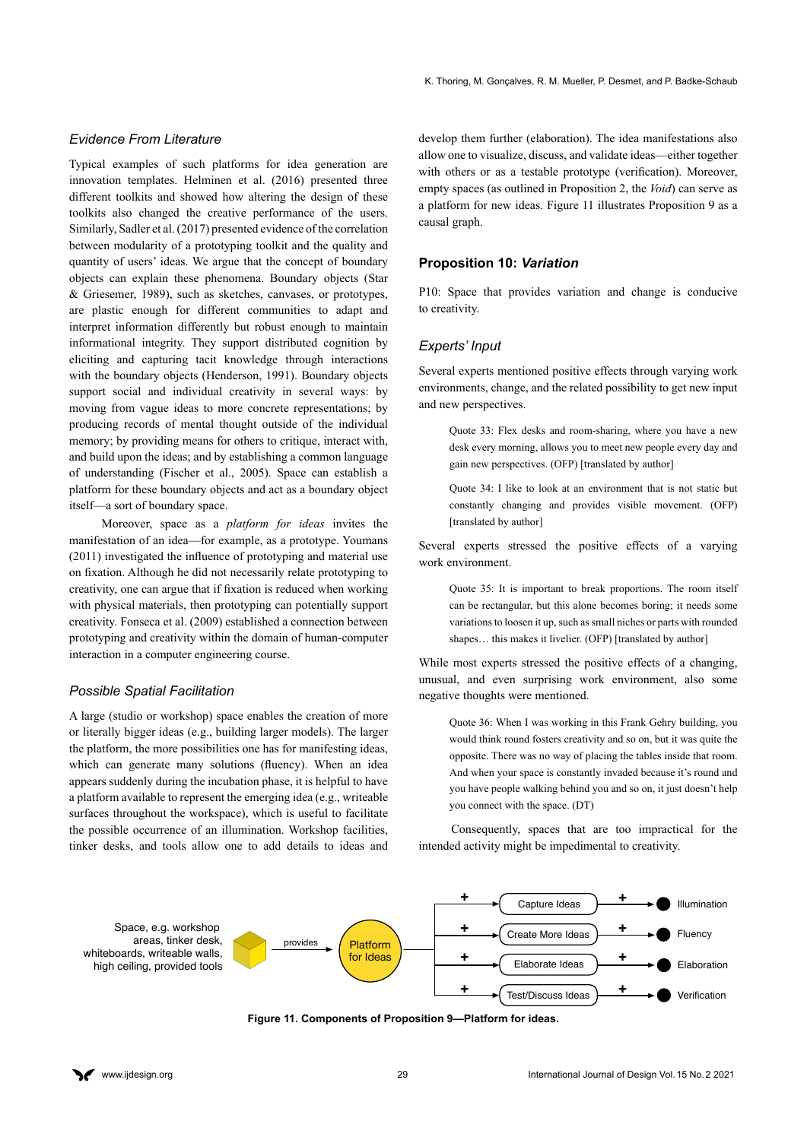### *Evidence From Literature*

Typical examples of such platforms for idea generation are innovation templates. Helminen et al. (2016) presented three different toolkits and showed how altering the design of these toolkits also changed the creative performance of the users. Similarly, Sadler et al. (2017) presented evidence of the correlation between modularity of a prototyping toolkit and the quality and quantity of users' ideas. We argue that the concept of boundary objects can explain these phenomena. Boundary objects (Star & Griesemer, 1989), such as sketches, canvases, or prototypes, are plastic enough for different communities to adapt and interpret information differently but robust enough to maintain informational integrity. They support distributed cognition by eliciting and capturing tacit knowledge through interactions with the boundary objects (Henderson, 1991). Boundary objects support social and individual creativity in several ways: by moving from vague ideas to more concrete representations; by producing records of mental thought outside of the individual memory; by providing means for others to critique, interact with, and build upon the ideas; and by establishing a common language of understanding (Fischer et al., 2005). Space can establish a platform for these boundary objects and act as a boundary object itself—a sort of boundary space.

Moreover, space as a *platform for ideas* invites the manifestation of an idea—for example, as a prototype. Youmans (2011) investigated the influence of prototyping and material use on fixation. Although he did not necessarily relate prototyping to creativity, one can argue that if fixation is reduced when working with physical materials, then prototyping can potentially support creativity. Fonseca et al. (2009) established a connection between prototyping and creativity within the domain of human-computer interaction in a computer engineering course.

### *Possible Spatial Facilitation*

A large (studio or workshop) space enables the creation of more or literally bigger ideas (e.g., building larger models). The larger the platform, the more possibilities one has for manifesting ideas, which can generate many solutions (fluency). When an idea appears suddenly during the incubation phase, it is helpful to have a platform available to represent the emerging idea (e.g., writeable surfaces throughout the workspace), which is useful to facilitate the possible occurrence of an illumination. Workshop facilities, tinker desks, and tools allow one to add details to ideas and

develop them further (elaboration). The idea manifestations also allow one to visualize, discuss, and validate ideas—either together with others or as a testable prototype (verification). Moreover, empty spaces (as outlined in Proposition 2, the *Void*) can serve as a platform for new ideas. Figure 11 illustrates Proposition 9 as a causal graph.

# **Proposition 10:** *Variation*

P10: Space that provides variation and change is conducive to creativity.

# *Experts' Input*

Several experts mentioned positive effects through varying work environments, change, and the related possibility to get new input and new perspectives.

Quote 33: Flex desks and room-sharing, where you have a new desk every morning, allows you to meet new people every day and gain new perspectives. (OFP) [translated by author]

Quote 34: I like to look at an environment that is not static but constantly changing and provides visible movement. (OFP) [translated by author]

Several experts stressed the positive effects of a varying work environment.

Quote 35: It is important to break proportions. The room itself can be rectangular, but this alone becomes boring; it needs some variations to loosen it up, such as small niches or parts with rounded shapes... this makes it livelier. (OFP) [translated by author]

While most experts stressed the positive effects of a changing, unusual, and even surprising work environment, also some negative thoughts were mentioned.

Quote 36: When I was working in this Frank Gehry building, you would think round fosters creativity and so on, but it was quite the opposite. There was no way of placing the tables inside that room. And when your space is constantly invaded because it's round and you have people walking behind you and so on, it just doesn't help you connect with the space. (DT)

Consequently, spaces that are too impractical for the intended activity might be impedimental to creativity.



**Figure 11. Components of Proposition 9—Platform for ideas.**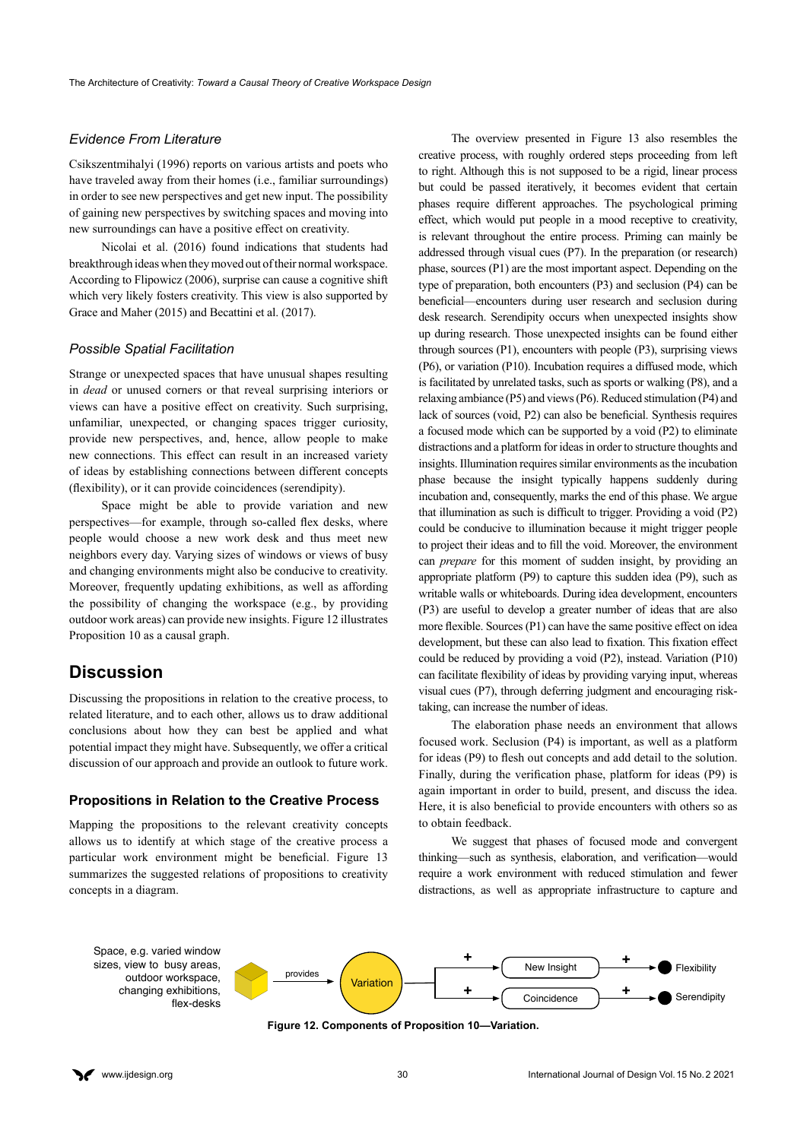# *Evidence From Literature*

Csikszentmihalyi (1996) reports on various artists and poets who have traveled away from their homes (i.e., familiar surroundings) in order to see new perspectives and get new input. The possibility of gaining new perspectives by switching spaces and moving into new surroundings can have a positive effect on creativity.

Nicolai et al. (2016) found indications that students had breakthrough ideas when they moved out of their normal workspace. According to Flipowicz (2006), surprise can cause a cognitive shift which very likely fosters creativity. This view is also supported by Grace and Maher (2015) and Becattini et al. (2017).

# *Possible Spatial Facilitation*

Strange or unexpected spaces that have unusual shapes resulting in *dead* or unused corners or that reveal surprising interiors or views can have a positive effect on creativity. Such surprising, unfamiliar, unexpected, or changing spaces trigger curiosity, provide new perspectives, and, hence, allow people to make new connections. This effect can result in an increased variety of ideas by establishing connections between different concepts (flexibility), or it can provide coincidences (serendipity).

Space might be able to provide variation and new perspectives—for example, through so-called flex desks, where people would choose a new work desk and thus meet new neighbors every day. Varying sizes of windows or views of busy and changing environments might also be conducive to creativity. Moreover, frequently updating exhibitions, as well as affording the possibility of changing the workspace (e.g., by providing outdoor work areas) can provide new insights. Figure 12 illustrates Proposition 10 as a causal graph.

# **Discussion**

Discussing the propositions in relation to the creative process, to related literature, and to each other, allows us to draw additional conclusions about how they can best be applied and what potential impact they might have. Subsequently, we offer a critical discussion of our approach and provide an outlook to future work.

#### **Propositions in Relation to the Creative Process**

Mapping the propositions to the relevant creativity concepts allows us to identify at which stage of the creative process a particular work environment might be beneficial. Figure 13 summarizes the suggested relations of propositions to creativity concepts in a diagram.

The overview presented in Figure 13 also resembles the creative process, with roughly ordered steps proceeding from left to right. Although this is not supposed to be a rigid, linear process but could be passed iteratively, it becomes evident that certain phases require different approaches. The psychological priming effect, which would put people in a mood receptive to creativity, is relevant throughout the entire process. Priming can mainly be addressed through visual cues (P7). In the preparation (or research) phase, sources (P1) are the most important aspect. Depending on the type of preparation, both encounters (P3) and seclusion (P4) can be beneficial—encounters during user research and seclusion during desk research. Serendipity occurs when unexpected insights show up during research. Those unexpected insights can be found either through sources (P1), encounters with people (P3), surprising views (P6), or variation (P10). Incubation requires a diffused mode, which is facilitated by unrelated tasks, such as sports or walking (P8), and a relaxing ambiance (P5) and views (P6). Reduced stimulation (P4) and lack of sources (void, P2) can also be beneficial. Synthesis requires a focused mode which can be supported by a void (P2) to eliminate distractions and a platform for ideas in order to structure thoughts and insights. Illumination requires similar environments as the incubation phase because the insight typically happens suddenly during incubation and, consequently, marks the end of this phase. We argue that illumination as such is difficult to trigger. Providing a void (P2) could be conducive to illumination because it might trigger people to project their ideas and to fill the void. Moreover, the environment can *prepare* for this moment of sudden insight, by providing an appropriate platform (P9) to capture this sudden idea (P9), such as writable walls or whiteboards. During idea development, encounters (P3) are useful to develop a greater number of ideas that are also more flexible. Sources (P1) can have the same positive effect on idea development, but these can also lead to fixation. This fixation effect could be reduced by providing a void (P2), instead. Variation (P10) can facilitate flexibility of ideas by providing varying input, whereas visual cues (P7), through deferring judgment and encouraging risktaking, can increase the number of ideas.

The elaboration phase needs an environment that allows focused work. Seclusion (P4) is important, as well as a platform for ideas (P9) to flesh out concepts and add detail to the solution. Finally, during the verification phase, platform for ideas (P9) is again important in order to build, present, and discuss the idea. Here, it is also beneficial to provide encounters with others so as to obtain feedback.

We suggest that phases of focused mode and convergent thinking—such as synthesis, elaboration, and verification—would require a work environment with reduced stimulation and fewer distractions, as well as appropriate infrastructure to capture and





**Figure 12. Components of Proposition 10—Variation.**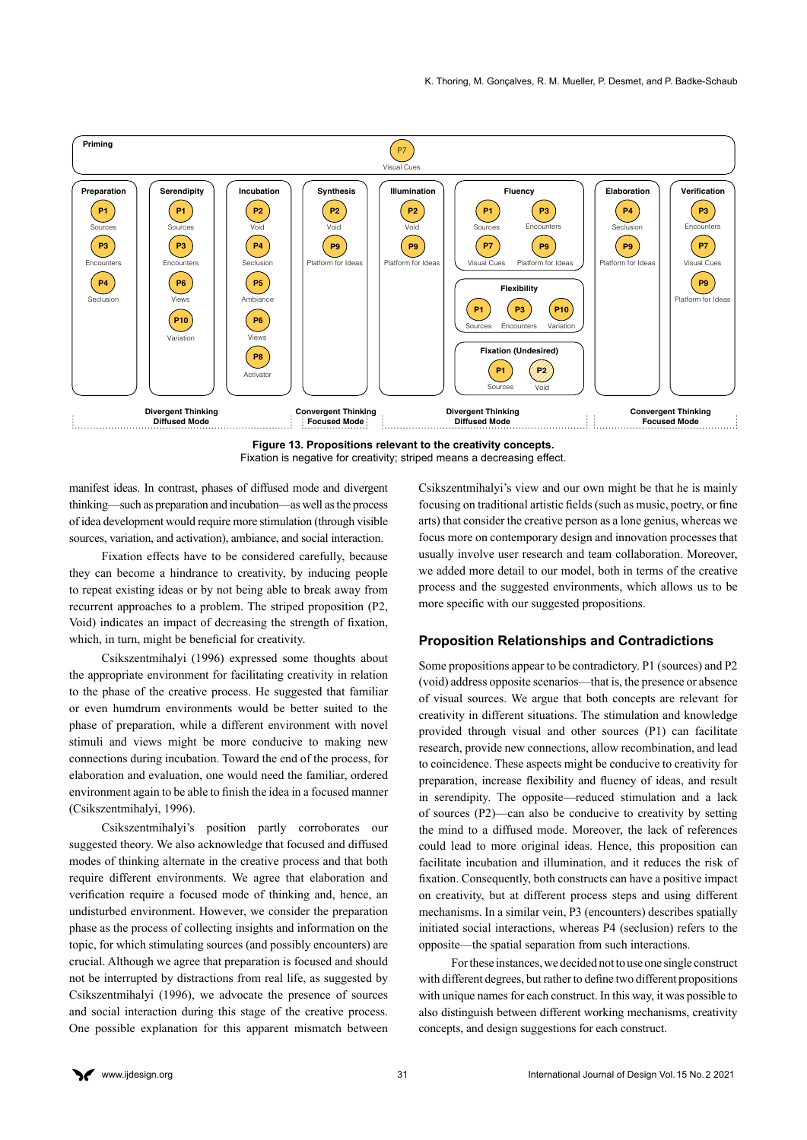

**Figure 13. Propositions relevant to the creativity concepts.** Fixation is negative for creativity; striped means a decreasing effect.

manifest ideas. In contrast, phases of diffused mode and divergent thinking—such as preparation and incubation—as well as the process of idea development would require more stimulation (through visible sources, variation, and activation), ambiance, and social interaction.

Fixation effects have to be considered carefully, because they can become a hindrance to creativity, by inducing people to repeat existing ideas or by not being able to break away from recurrent approaches to a problem. The striped proposition (P2, Void) indicates an impact of decreasing the strength of fixation, which, in turn, might be beneficial for creativity.

Csikszentmihalyi (1996) expressed some thoughts about the appropriate environment for facilitating creativity in relation to the phase of the creative process. He suggested that familiar or even humdrum environments would be better suited to the phase of preparation, while a different environment with novel stimuli and views might be more conducive to making new connections during incubation. Toward the end of the process, for elaboration and evaluation, one would need the familiar, ordered environment again to be able to finish the idea in a focused manner (Csikszentmihalyi, 1996).

Csikszentmihalyi's position partly corroborates our suggested theory. We also acknowledge that focused and diffused modes of thinking alternate in the creative process and that both require different environments. We agree that elaboration and verification require a focused mode of thinking and, hence, an undisturbed environment. However, we consider the preparation phase as the process of collecting insights and information on the topic, for which stimulating sources (and possibly encounters) are crucial. Although we agree that preparation is focused and should not be interrupted by distractions from real life, as suggested by Csikszentmihalyi (1996), we advocate the presence of sources and social interaction during this stage of the creative process. One possible explanation for this apparent mismatch between Csikszentmihalyi's view and our own might be that he is mainly focusing on traditional artistic fields (such as music, poetry, or fine arts) that consider the creative person as a lone genius, whereas we focus more on contemporary design and innovation processes that usually involve user research and team collaboration. Moreover, we added more detail to our model, both in terms of the creative process and the suggested environments, which allows us to be more specific with our suggested propositions.

#### **Proposition Relationships and Contradictions**

Some propositions appear to be contradictory. P1 (sources) and P2 (void) address opposite scenarios—that is, the presence or absence of visual sources. We argue that both concepts are relevant for creativity in different situations. The stimulation and knowledge provided through visual and other sources (P1) can facilitate research, provide new connections, allow recombination, and lead to coincidence. These aspects might be conducive to creativity for preparation, increase flexibility and fluency of ideas, and result in serendipity. The opposite—reduced stimulation and a lack of sources (P2)—can also be conducive to creativity by setting the mind to a diffused mode. Moreover, the lack of references could lead to more original ideas. Hence, this proposition can facilitate incubation and illumination, and it reduces the risk of fixation. Consequently, both constructs can have a positive impact on creativity, but at different process steps and using different mechanisms. In a similar vein, P3 (encounters) describes spatially initiated social interactions, whereas P4 (seclusion) refers to the opposite—the spatial separation from such interactions.

For these instances, we decided not to use one single construct with different degrees, but rather to define two different propositions with unique names for each construct. In this way, it was possible to also distinguish between different working mechanisms, creativity concepts, and design suggestions for each construct.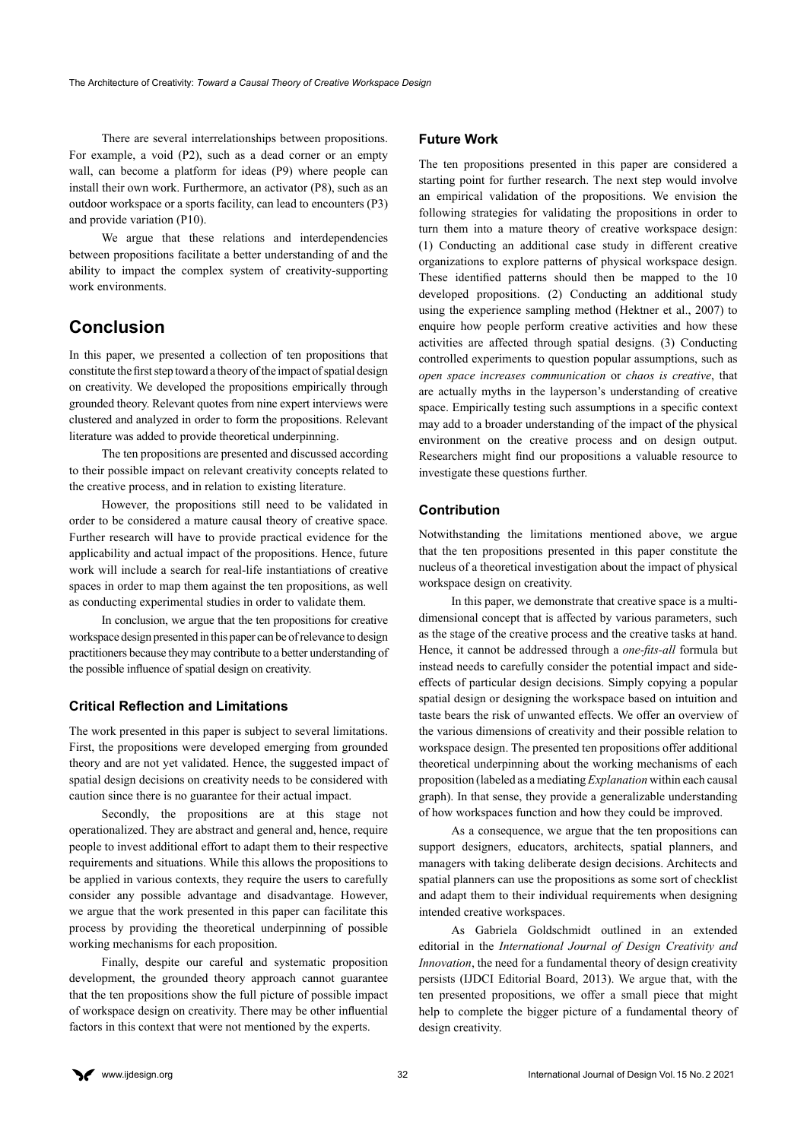There are several interrelationships between propositions. For example, a void (P2), such as a dead corner or an empty wall, can become a platform for ideas (P9) where people can install their own work. Furthermore, an activator (P8), such as an outdoor workspace or a sports facility, can lead to encounters (P3) and provide variation (P10).

We argue that these relations and interdependencies between propositions facilitate a better understanding of and the ability to impact the complex system of creativity-supporting work environments.

# **Conclusion**

In this paper, we presented a collection of ten propositions that constitute the first step toward a theory of the impact of spatial design on creativity. We developed the propositions empirically through grounded theory. Relevant quotes from nine expert interviews were clustered and analyzed in order to form the propositions. Relevant literature was added to provide theoretical underpinning.

The ten propositions are presented and discussed according to their possible impact on relevant creativity concepts related to the creative process, and in relation to existing literature.

However, the propositions still need to be validated in order to be considered a mature causal theory of creative space. Further research will have to provide practical evidence for the applicability and actual impact of the propositions. Hence, future work will include a search for real-life instantiations of creative spaces in order to map them against the ten propositions, as well as conducting experimental studies in order to validate them.

In conclusion, we argue that the ten propositions for creative workspace design presented in this paper can be of relevance to design practitioners because they may contribute to a better understanding of the possible influence of spatial design on creativity.

# **Critical Reflection and Limitations**

The work presented in this paper is subject to several limitations. First, the propositions were developed emerging from grounded theory and are not yet validated. Hence, the suggested impact of spatial design decisions on creativity needs to be considered with caution since there is no guarantee for their actual impact.

Secondly, the propositions are at this stage not operationalized. They are abstract and general and, hence, require people to invest additional effort to adapt them to their respective requirements and situations. While this allows the propositions to be applied in various contexts, they require the users to carefully consider any possible advantage and disadvantage. However, we argue that the work presented in this paper can facilitate this process by providing the theoretical underpinning of possible working mechanisms for each proposition.

Finally, despite our careful and systematic proposition development, the grounded theory approach cannot guarantee that the ten propositions show the full picture of possible impact of workspace design on creativity. There may be other influential factors in this context that were not mentioned by the experts.

# **Future Work**

The ten propositions presented in this paper are considered a starting point for further research. The next step would involve an empirical validation of the propositions. We envision the following strategies for validating the propositions in order to turn them into a mature theory of creative workspace design: (1) Conducting an additional case study in different creative organizations to explore patterns of physical workspace design. These identified patterns should then be mapped to the 10 developed propositions. (2) Conducting an additional study using the experience sampling method (Hektner et al., 2007) to enquire how people perform creative activities and how these activities are affected through spatial designs. (3) Conducting controlled experiments to question popular assumptions, such as *open space increases communication* or *chaos is creative*, that are actually myths in the layperson's understanding of creative space. Empirically testing such assumptions in a specific context may add to a broader understanding of the impact of the physical environment on the creative process and on design output. Researchers might find our propositions a valuable resource to investigate these questions further.

# **Contribution**

Notwithstanding the limitations mentioned above, we argue that the ten propositions presented in this paper constitute the nucleus of a theoretical investigation about the impact of physical workspace design on creativity.

In this paper, we demonstrate that creative space is a multidimensional concept that is affected by various parameters, such as the stage of the creative process and the creative tasks at hand. Hence, it cannot be addressed through a *one-fits-all* formula but instead needs to carefully consider the potential impact and sideeffects of particular design decisions. Simply copying a popular spatial design or designing the workspace based on intuition and taste bears the risk of unwanted effects. We offer an overview of the various dimensions of creativity and their possible relation to workspace design. The presented ten propositions offer additional theoretical underpinning about the working mechanisms of each proposition (labeled as a mediating *Explanation* within each causal graph). In that sense, they provide a generalizable understanding of how workspaces function and how they could be improved.

As a consequence, we argue that the ten propositions can support designers, educators, architects, spatial planners, and managers with taking deliberate design decisions. Architects and spatial planners can use the propositions as some sort of checklist and adapt them to their individual requirements when designing intended creative workspaces.

As Gabriela Goldschmidt outlined in an extended editorial in the *International Journal of Design Creativity and Innovation*, the need for a fundamental theory of design creativity persists (IJDCI Editorial Board, 2013). We argue that, with the ten presented propositions, we offer a small piece that might help to complete the bigger picture of a fundamental theory of design creativity.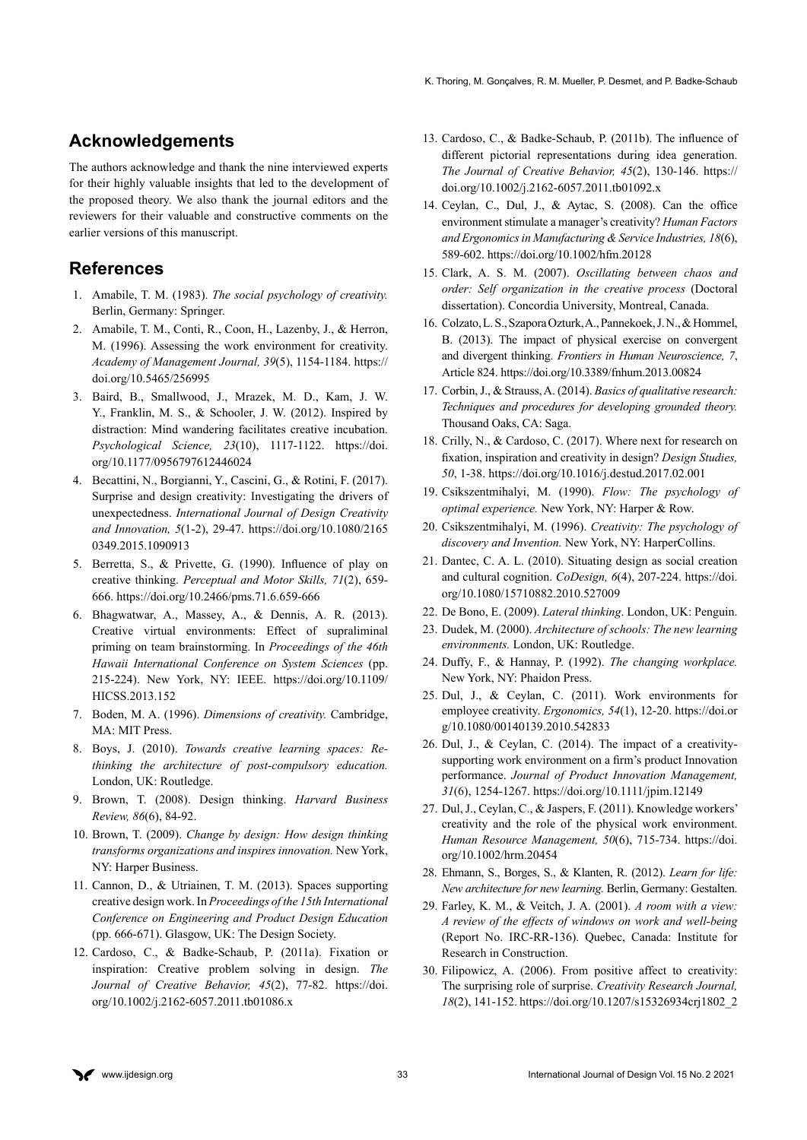# **Acknowledgements**

The authors acknowledge and thank the nine interviewed experts for their highly valuable insights that led to the development of the proposed theory. We also thank the journal editors and the reviewers for their valuable and constructive comments on the earlier versions of this manuscript.

# **References**

- 1. Amabile, T. M. (1983). *The social psychology of creativity.*  Berlin, Germany: Springer.
- 2. Amabile, T. M., Conti, R., Coon, H., Lazenby, J., & Herron, M. (1996). Assessing the work environment for creativity. *Academy of Management Journal, 39*(5), 1154-1184. [https://](https://doi.org/10.5465/256995) [doi.org/10.5465/256995](https://doi.org/10.5465/256995)
- 3. Baird, B., Smallwood, J., Mrazek, M. D., Kam, J. W. Y., Franklin, M. S., & Schooler, J. W. (2012). Inspired by distraction: Mind wandering facilitates creative incubation. *Psychological Science, 23*(10), 1117-1122. [https://doi.](https://doi.org/10.1177/0956797612446024) [org/10.1177/0956797612446024](https://doi.org/10.1177/0956797612446024)
- 4. Becattini, N., Borgianni, Y., Cascini, G., & Rotini, F. (2017). Surprise and design creativity: Investigating the drivers of unexpectedness. *International Journal of Design Creativity and Innovation, 5*(1-2), 29-47. [https://doi.org/10.1080/2165](https://doi.org/10.1080/21650349.2015.1090913) [0349.2015.1090913](https://doi.org/10.1080/21650349.2015.1090913)
- 5. Berretta, S., & Privette, G. (1990). Influence of play on creative thinking. *Perceptual and Motor Skills, 71*(2), 659- 666.<https://doi.org/10.2466/pms.71.6.659-666>
- 6. Bhagwatwar, A., Massey, A., & Dennis, A. R. (2013). Creative virtual environments: Effect of supraliminal priming on team brainstorming. In *Proceedings of the 46th Hawaii International Conference on System Sciences* (pp. 215-224). New York, NY: IEEE. [https://doi.org/10.1109/](https://doi.org/10.1109/HICSS.2013.152) [HICSS.2013.152](https://doi.org/10.1109/HICSS.2013.152)
- 7. Boden, M. A. (1996). *Dimensions of creativity.* Cambridge, MA: MIT Press.
- 8. Boys, J. (2010). *Towards creative learning spaces: Rethinking the architecture of post-compulsory education.*  London, UK: Routledge.
- 9. Brown, T. (2008). Design thinking. *Harvard Business Review, 86*(6), 84-92.
- 10. Brown, T. (2009). *Change by design: How design thinking transforms organizations and inspires innovation.* New York, NY: Harper Business.
- 11. Cannon, D., & Utriainen, T. M. (2013). Spaces supporting creative design work. In *Proceedings of the 15th International Conference on Engineering and Product Design Education*  (pp. 666-671). Glasgow, UK: The Design Society.
- 12. Cardoso, C., & Badke-Schaub, P. (2011a). Fixation or inspiration: Creative problem solving in design. *The Journal of Creative Behavior, 45*(2), 77-82. [https://doi.](https://doi.org/10.1002/j.2162-6057.2011.tb01086.x) [org/10.1002/j.2162-6057.2011.tb01086.x](https://doi.org/10.1002/j.2162-6057.2011.tb01086.x)
- 13. Cardoso, C., & Badke-Schaub, P. (2011b). The influence of different pictorial representations during idea generation. *The Journal of Creative Behavior, 45*(2), 130-146. [https://](https://doi.org/10.1002/j.2162-6057.2011.tb01092.x) [doi.org/10.1002/j.2162-6057.2011.tb01092.x](https://doi.org/10.1002/j.2162-6057.2011.tb01092.x)
- 14. Ceylan, C., Dul, J., & Aytac, S. (2008). Can the office environment stimulate a manager's creativity? *Human Factors and Ergonomics in Manufacturing & Service Industries, 18*(6), 589-602. <https://doi.org/10.1002/hfm.20128>
- 15. Clark, A. S. M. (2007). *Oscillating between chaos and order: Self organization in the creative process* (Doctoral dissertation). Concordia University, Montreal, Canada.
- 16. Colzato, L. S., Szapora Ozturk, A., Pannekoek, J. N., & Hommel, B. (2013). The impact of physical exercise on convergent and divergent thinking. *Frontiers in Human Neuroscience, 7*, Article 824.<https://doi.org/10.3389/fnhum.2013.00824>
- 17. Corbin, J., & Strauss, A. (2014). *Basics of qualitative research: Techniques and procedures for developing grounded theory.*  Thousand Oaks, CA: Saga.
- 18. Crilly, N., & Cardoso, C. (2017). Where next for research on fixation, inspiration and creativity in design? *Design Studies, 50*, 1-38.<https://doi.org/10.1016/j.destud.2017.02.001>
- 19. Csikszentmihalyi, M. (1990). *Flow: The psychology of optimal experience.* New York, NY: Harper & Row.
- 20. Csikszentmihalyi, M. (1996). *Creativity: The psychology of discovery and Invention.* New York, NY: HarperCollins.
- 21. Dantec, C. A. L. (2010). Situating design as social creation and cultural cognition. *CoDesign, 6*(4), 207-224. [https://doi.](https://doi.org/10.1080/15710882.2010.527009) [org/10.1080/15710882.2010.527009](https://doi.org/10.1080/15710882.2010.527009)
- 22. De Bono, E. (2009). *Lateral thinking*. London, UK: Penguin.
- 23. Dudek, M. (2000). *Architecture of schools: The new learning environments.* London, UK: Routledge.
- 24. Duffy, F., & Hannay, P. (1992). *The changing workplace.*  New York, NY: Phaidon Press.
- 25. Dul, J., & Ceylan, C. (2011). Work environments for employee creativity. *Ergonomics, 54*(1), 12-20. [https://doi.or](https://doi.org/10.1080/00140139.2010.542833) [g/10.1080/00140139.2010.542833](https://doi.org/10.1080/00140139.2010.542833)
- 26. Dul, J., & Ceylan, C. (2014). The impact of a creativitysupporting work environment on a firm's product Innovation performance. *Journal of Product Innovation Management, 31*(6), 1254-1267.<https://doi.org/10.1111/jpim.12149>
- 27. Dul, J., Ceylan, C., & Jaspers, F. (2011). Knowledge workers' creativity and the role of the physical work environment. *Human Resource Management, 50*(6), 715-734. [https://doi.](https://doi.org/10.1002/hrm.20454) [org/10.1002/hrm.20454](https://doi.org/10.1002/hrm.20454)
- 28. Ehmann, S., Borges, S., & Klanten, R. (2012). *Learn for life: New architecture for new learning.* Berlin, Germany: Gestalten.
- 29. Farley, K. M., & Veitch, J. A. (2001). *A room with a view: A review of the effects of windows on work and well-being*  (Report No. IRC-RR-136). Quebec, Canada: Institute for Research in Construction.
- 30. Filipowicz, A. (2006). From positive affect to creativity: The surprising role of surprise. *Creativity Research Journal, 18*(2), 141-152. [https://doi.org/10.1207/s15326934crj1802\\_2](https://doi.org/10.1207/s15326934crj1802_2)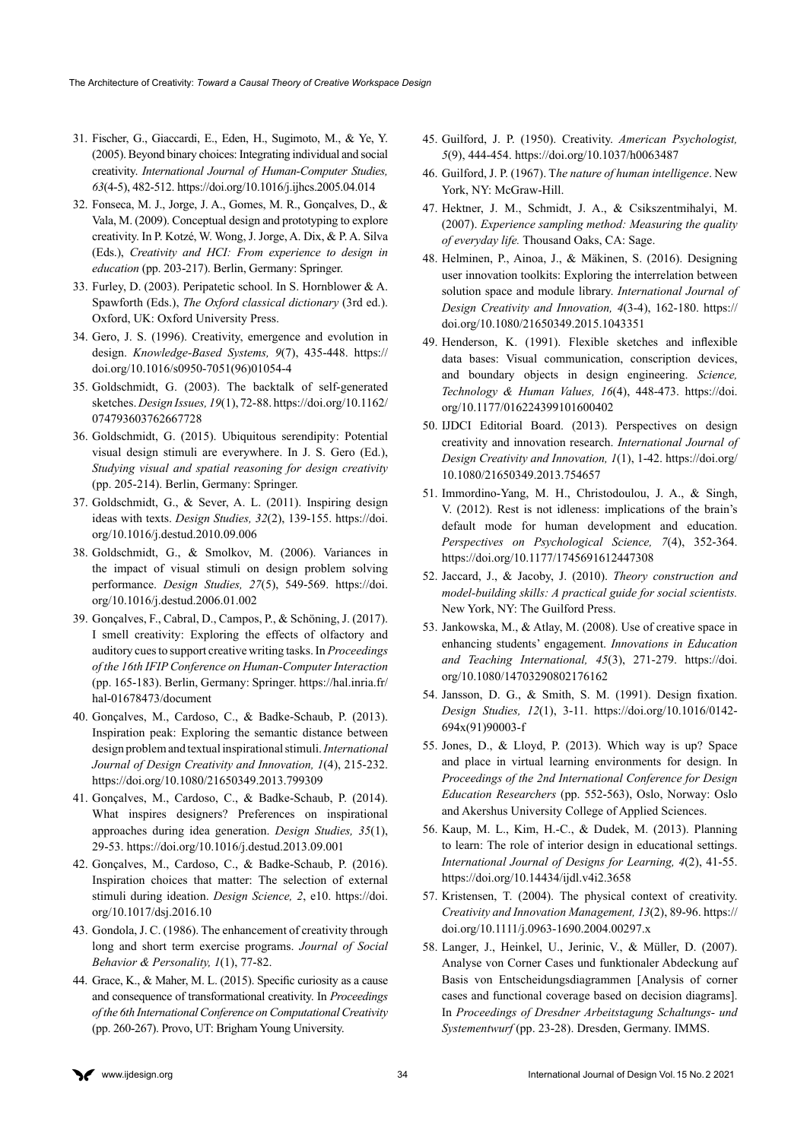- 31. Fischer, G., Giaccardi, E., Eden, H., Sugimoto, M., & Ye, Y. (2005). Beyond binary choices: Integrating individual and social creativity. *International Journal of Human-Computer Studies, 63*(4-5), 482-512. <https://doi.org/10.1016/j.ijhcs.2005.04.014>
- 32. Fonseca, M. J., Jorge, J. A., Gomes, M. R., Gonçalves, D., & Vala, M. (2009). Conceptual design and prototyping to explore creativity. In P. Kotzé, W. Wong, J. Jorge, A. Dix, & P. A. Silva (Eds.), *Creativity and HCI: From experience to design in education* (pp. 203-217). Berlin, Germany: Springer.
- 33. Furley, D. (2003). Peripatetic school. In S. Hornblower & A. Spawforth (Eds.), *The Oxford classical dictionary* (3rd ed.). Oxford, UK: Oxford University Press.
- 34. Gero, J. S. (1996). Creativity, emergence and evolution in design. *Knowledge-Based Systems, 9*(7), 435-448. [https://](https://doi.org/10.1016/s0950-7051(96)01054-4) [doi.org/10.1016/s0950-7051\(96\)01054-4](https://doi.org/10.1016/s0950-7051(96)01054-4)
- 35. Goldschmidt, G. (2003). The backtalk of self-generated sketches. *Design Issues, 19*(1), 72-88. [https://doi.org/10.1162/](https://doi.org/10.1162/074793603762667728) [074793603762667728](https://doi.org/10.1162/074793603762667728)
- 36. Goldschmidt, G. (2015). Ubiquitous serendipity: Potential visual design stimuli are everywhere. In J. S. Gero (Ed.), *Studying visual and spatial reasoning for design creativity*  (pp. 205-214). Berlin, Germany: Springer.
- 37. Goldschmidt, G., & Sever, A. L. (2011). Inspiring design ideas with texts. *Design Studies, 32*(2), 139-155. [https://doi.](https://doi.org/10.1016/j.destud.2010.09.006) [org/10.1016/j.destud.2010.09.006](https://doi.org/10.1016/j.destud.2010.09.006)
- 38. Goldschmidt, G., & Smolkov, M. (2006). Variances in the impact of visual stimuli on design problem solving performance. *Design Studies, 27*(5), 549-569. [https://doi.](https://doi.org/10.1016/j.destud.2006.01.002) [org/10.1016/j.destud.2006.01.002](https://doi.org/10.1016/j.destud.2006.01.002)
- 39. Gonçalves, F., Cabral, D., Campos, P., & Schöning, J. (2017). I smell creativity: Exploring the effects of olfactory and auditory cues to support creative writing tasks. In *Proceedings of the 16th IFIP Conference on Human-Computer Interaction* (pp. 165-183). Berlin, Germany: Springer. [https://hal.inria.fr/](https://hal.inria.fr/hal-01678473/document) [hal-01678473/document](https://hal.inria.fr/hal-01678473/document)
- 40. Gonçalves, M., Cardoso, C., & Badke-Schaub, P. (2013). Inspiration peak: Exploring the semantic distance between design problem and textual inspirational stimuli. *International Journal of Design Creativity and Innovation, 1*(4), 215-232. <https://doi.org/10.1080/21650349.2013.799309>
- 41. Gonçalves, M., Cardoso, C., & Badke-Schaub, P. (2014). What inspires designers? Preferences on inspirational approaches during idea generation. *Design Studies, 35*(1), 29-53. <https://doi.org/10.1016/j.destud.2013.09.001>
- 42. Gonçalves, M., Cardoso, C., & Badke-Schaub, P. (2016). Inspiration choices that matter: The selection of external stimuli during ideation. *Design Science, 2*, e10. [https://doi.](https://doi.org/10.1017/dsj.2016.10) [org/10.1017/dsj.2016.10](https://doi.org/10.1017/dsj.2016.10)
- 43. Gondola, J. C. (1986). The enhancement of creativity through long and short term exercise programs. *Journal of Social Behavior & Personality, 1*(1), 77-82.
- 44. Grace, K., & Maher, M. L. (2015). Specific curiosity as a cause and consequence of transformational creativity. In *Proceedings of the 6th International Conference on Computational Creativity*  (pp. 260-267). Provo, UT: Brigham Young University.
- 45. Guilford, J. P. (1950). Creativity. *American Psychologist, 5*(9), 444-454. <https://doi.org/10.1037/h0063487>
- 46. Guilford, J. P. (1967). T*he nature of human intelligence*. New York, NY: McGraw-Hill.
- 47. Hektner, J. M., Schmidt, J. A., & Csikszentmihalyi, M. (2007). *Experience sampling method: Measuring the quality of everyday life.* Thousand Oaks, CA: Sage.
- 48. Helminen, P., Ainoa, J., & Mäkinen, S. (2016). Designing user innovation toolkits: Exploring the interrelation between solution space and module library. *International Journal of Design Creativity and Innovation, 4*(3-4), 162-180. [https://](https://doi.org/10.1080/21650349.2015.1043351) [doi.org/10.1080/21650349.2015.1043351](https://doi.org/10.1080/21650349.2015.1043351)
- 49. Henderson, K. (1991). Flexible sketches and inflexible data bases: Visual communication, conscription devices, and boundary objects in design engineering. *Science, Technology & Human Values, 16*(4), 448-473. [https://doi.](https://doi.org/10.1177/016224399101600402) [org/10.1177/016224399101600402](https://doi.org/10.1177/016224399101600402)
- 50. IJDCI Editorial Board. (2013). Perspectives on design creativity and innovation research. *International Journal of Design Creativity and Innovation, 1*(1), 1-42. [https://doi.org/](https://doi.org/10.1080/21650349.2013.754657) [10.1080/21650349.2013.754657](https://doi.org/10.1080/21650349.2013.754657)
- 51. Immordino-Yang, M. H., Christodoulou, J. A., & Singh, V. (2012). Rest is not idleness: implications of the brain's default mode for human development and education. *Perspectives on Psychological Science, 7*(4), 352-364. <https://doi.org/10.1177/1745691612447308>
- 52. Jaccard, J., & Jacoby, J. (2010). *Theory construction and model-building skills: A practical guide for social scientists.*  New York, NY: The Guilford Press.
- 53. Jankowska, M., & Atlay, M. (2008). Use of creative space in enhancing students' engagement. *Innovations in Education and Teaching International, 45*(3), 271-279. [https://doi.](https://doi.org/10.1080/14703290802176162) [org/10.1080/14703290802176162](https://doi.org/10.1080/14703290802176162)
- 54. Jansson, D. G., & Smith, S. M. (1991). Design fixation. *Design Studies, 12*(1), 3-11. [https://doi.org/10.1016/0142-](https://doi.org/10.1016/0142-694x(91)90003-f) [694x\(91\)90003-f](https://doi.org/10.1016/0142-694x(91)90003-f)
- 55. Jones, D., & Lloyd, P. (2013). Which way is up? Space and place in virtual learning environments for design. In *Proceedings of the 2nd International Conference for Design Education Researchers* (pp. 552-563), Oslo, Norway: Oslo and Akershus University College of Applied Sciences.
- 56. Kaup, M. L., Kim, H.-C., & Dudek, M. (2013). Planning to learn: The role of interior design in educational settings. *International Journal of Designs for Learning, 4*(2), 41-55. <https://doi.org/10.14434/ijdl.v4i2.3658>
- 57. Kristensen, T. (2004). The physical context of creativity. *Creativity and Innovation Management, 13*(2), 89-96. [https://](https://doi.org/10.1111/j.0963-1690.2004.00297.x) [doi.org/10.1111/j.0963-1690.2004.00297.x](https://doi.org/10.1111/j.0963-1690.2004.00297.x)
- 58. Langer, J., Heinkel, U., Jerinic, V., & Müller, D. (2007). Analyse von Corner Cases und funktionaler Abdeckung auf Basis von Entscheidungsdiagrammen [Analysis of corner cases and functional coverage based on decision diagrams]. In *Proceedings of Dresdner Arbeitstagung Schaltungs- und Systementwurf* (pp. 23-28). Dresden, Germany. IMMS.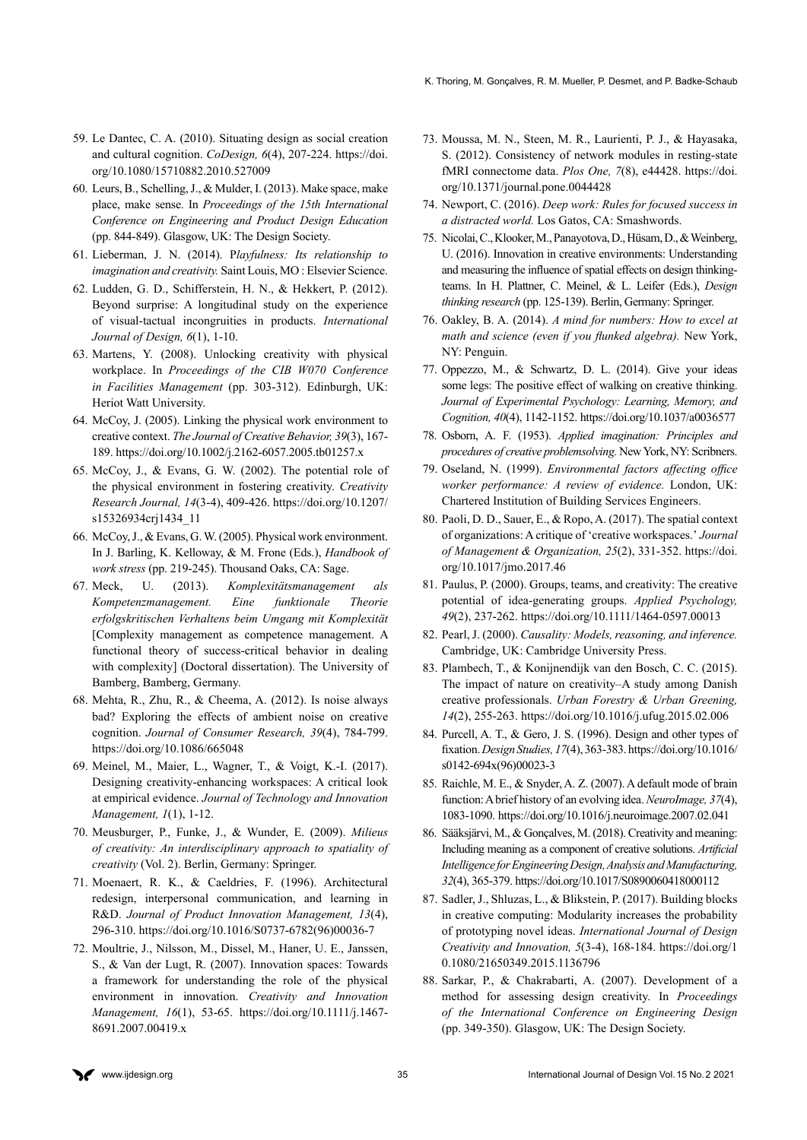- 59. Le Dantec, C. A. (2010). Situating design as social creation and cultural cognition. *CoDesign, 6*(4), 207-224. [https://doi.](https://doi.org/10.1080/15710882.2010.527009) [org/10.1080/15710882.2010.527009](https://doi.org/10.1080/15710882.2010.527009)
- 60. Leurs, B., Schelling, J., & Mulder, I. (2013). Make space, make place, make sense. In *Proceedings of the 15th International Conference on Engineering and Product Design Education* (pp. 844-849). Glasgow, UK: The Design Society.
- 61. Lieberman, J. N. (2014). P*layfulness: Its relationship to imagination and creativity.* Saint Louis, MO : Elsevier Science.
- 62. Ludden, G. D., Schifferstein, H. N., & Hekkert, P. (2012). Beyond surprise: A longitudinal study on the experience of visual-tactual incongruities in products. *International Journal of Design, 6*(1), 1-10.
- 63. Martens, Y. (2008). Unlocking creativity with physical workplace. In *Proceedings of the CIB W070 Conference in Facilities Management* (pp. 303-312). Edinburgh, UK: Heriot Watt University.
- 64. McCoy, J. (2005). Linking the physical work environment to creative context. *The Journal of Creative Behavior, 39*(3), 167- 189. <https://doi.org/10.1002/j.2162-6057.2005.tb01257.x>
- 65. McCoy, J., & Evans, G. W. (2002). The potential role of the physical environment in fostering creativity. *Creativity Research Journal, 14*(3-4), 409-426. [https://doi.org/10.1207/](https://doi.org/10.1207/s15326934crj1434_11) [s15326934crj1434\\_11](https://doi.org/10.1207/s15326934crj1434_11)
- 66. McCoy, J., & Evans, G. W. (2005). Physical work environment. In J. Barling, K. Kelloway, & M. Frone (Eds.), *Handbook of work stress* (pp. 219-245). Thousand Oaks, CA: Sage.
- 67. Meck, U. (2013). *Komplexitätsmanagement als Kompetenzmanagement. Eine funktionale Theorie erfolgskritischen Verhaltens beim Umgang mit Komplexität*  [Complexity management as competence management. A functional theory of success-critical behavior in dealing with complexity] (Doctoral dissertation). The University of Bamberg, Bamberg, Germany.
- 68. Mehta, R., Zhu, R., & Cheema, A. (2012). Is noise always bad? Exploring the effects of ambient noise on creative cognition. *Journal of Consumer Research, 39*(4), 784-799. <https://doi.org/10.1086/665048>
- 69. Meinel, M., Maier, L., Wagner, T., & Voigt, K.-I. (2017). Designing creativity-enhancing workspaces: A critical look at empirical evidence. *Journal of Technology and Innovation Management, 1*(1), 1-12.
- 70. Meusburger, P., Funke, J., & Wunder, E. (2009). *Milieus of creativity: An interdisciplinary approach to spatiality of creativity* (Vol. 2). Berlin, Germany: Springer.
- 71. Moenaert, R. K., & Caeldries, F. (1996). Architectural redesign, interpersonal communication, and learning in R&D. *Journal of Product Innovation Management, 13*(4), 296-310. [https://doi.org/10.1016/S0737-6782\(96\)00036-7](https://doi.org/10.1016/S0737-6782(96)00036-7)
- 72. Moultrie, J., Nilsson, M., Dissel, M., Haner, U. E., Janssen, S., & Van der Lugt, R. (2007). Innovation spaces: Towards a framework for understanding the role of the physical environment in innovation. *Creativity and Innovation Management, 16*(1), 53-65. [https://doi.org/10.1111/j.1467-](https://doi.org/10.1111/j.1467-8691.2007.00419.x) [8691.2007.00419.x](https://doi.org/10.1111/j.1467-8691.2007.00419.x)
- 73. Moussa, M. N., Steen, M. R., Laurienti, P. J., & Hayasaka, S. (2012). Consistency of network modules in resting-state fMRI connectome data. *Plos One, 7*(8), e44428. [https://doi.](https://doi.org/10.1371/journal.pone.0044428) [org/10.1371/journal.pone.0044428](https://doi.org/10.1371/journal.pone.0044428)
- 74. Newport, C. (2016). *Deep work: Rules for focused success in a distracted world.* Los Gatos, CA: Smashwords.
- 75. Nicolai, C., Klooker, M., Panayotova, D., Hüsam, D., & Weinberg, U. (2016). Innovation in creative environments: Understanding and measuring the influence of spatial effects on design thinkingteams. In H. Plattner, C. Meinel, & L. Leifer (Eds.), *Design thinking research* (pp. 125-139). Berlin, Germany: Springer.
- 76. Oakley, B. A. (2014). *A mind for numbers: How to excel at math and science (even if you flunked algebra).* New York, NY: Penguin.
- 77. Oppezzo, M., & Schwartz, D. L. (2014). Give your ideas some legs: The positive effect of walking on creative thinking. *Journal of Experimental Psychology: Learning, Memory, and Cognition, 40*(4), 1142-1152.<https://doi.org/10.1037/a0036577>
- 78. Osborn, A. F. (1953). *Applied imagination: Principles and procedures of creative problemsolving.* New York, NY: Scribners.
- 79. Oseland, N. (1999). *Environmental factors affecting office worker performance: A review of evidence.* London, UK: Chartered Institution of Building Services Engineers.
- 80. Paoli, D. D., Sauer, E., & Ropo, A. (2017). The spatial context of organizations: A critique of 'creative workspaces.' *Journal of Management & Organization, 25*(2), 331-352. [https://doi.](https://doi.org/10.1017/jmo.2017.46) [org/10.1017/jmo.2017.46](https://doi.org/10.1017/jmo.2017.46)
- 81. Paulus, P. (2000). Groups, teams, and creativity: The creative potential of idea-generating groups. *Applied Psychology, 49*(2), 237-262.<https://doi.org/10.1111/1464-0597.00013>
- 82. Pearl, J. (2000). *Causality: Models, reasoning, and inference.*  Cambridge, UK: Cambridge University Press.
- 83. Plambech, T., & Konijnendijk van den Bosch, C. C. (2015). The impact of nature on creativity–A study among Danish creative professionals. *Urban Forestry & Urban Greening, 14*(2), 255-263[. https://doi.org/10.1016/j.ufug.2015.02.006]( https://doi.org/10.1016/j.ufug.2015.02.006)
- 84. Purcell, A. T., & Gero, J. S. (1996). Design and other types of fixation. *Design Studies, 17*(4), 363-383. [https://doi.org/10.1016/](https://doi.org/10.1016/s0142-694x(96)00023-3) [s0142-694x\(96\)00023-3](https://doi.org/10.1016/s0142-694x(96)00023-3)
- 85. Raichle, M. E., & Snyder, A. Z. (2007). A default mode of brain function: A brief history of an evolving idea. *NeuroImage, 37*(4), 1083-1090. <https://doi.org/10.1016/j.neuroimage.2007.02.041>
- 86. Sääksjärvi, M., & Gonçalves, M. (2018). Creativity and meaning: Including meaning as a component of creative solutions. *Artificial Intelligence for Engineering Design, Analysis and Manufacturing, 32*(4), 365-379.<https://doi.org/10.1017/S0890060418000112>
- 87. Sadler, J., Shluzas, L., & Blikstein, P. (2017). Building blocks in creative computing: Modularity increases the probability of prototyping novel ideas. *International Journal of Design Creativity and Innovation, 5*(3-4), 168-184. [https://doi.org/1](https://doi.org/10.1080/21650349.2015.1136796) [0.1080/21650349.2015.1136796](https://doi.org/10.1080/21650349.2015.1136796)
- 88. Sarkar, P., & Chakrabarti, A. (2007). Development of a method for assessing design creativity. In *Proceedings of the International Conference on Engineering Design* (pp. 349-350). Glasgow, UK: The Design Society.